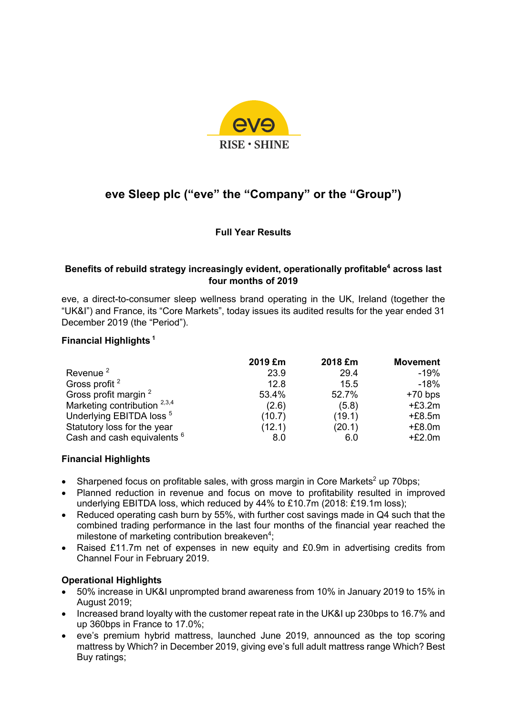

# **eve Sleep plc ("eve" the "Company" or the "Group")**

**Full Year Results**

## **Benefits of rebuild strategy increasingly evident, operationally profitable4 across last four months of 2019**

eve, a direct-to-consumer sleep wellness brand operating in the UK, Ireland (together the "UK&I") and France, its "Core Markets", today issues its audited results for the year ended 31 December 2019 (the "Period").

## **Financial Highlights <sup>1</sup>**

|                                        | 2019 £m | 2018 £m | <b>Movement</b> |
|----------------------------------------|---------|---------|-----------------|
| Revenue <sup>2</sup>                   | 23.9    | 29.4    | -19%            |
| Gross profit <sup>2</sup>              | 12.8    | 15.5    | $-18%$          |
| Gross profit margin <sup>2</sup>       | 53.4%   | 52.7%   | $+70$ bps       |
| Marketing contribution $^{2,3,4}$      | (2.6)   | (5.8)   | $+£3.2m$        |
| Underlying EBITDA loss <sup>5</sup>    | (10.7)  | (19.1)  | $+£8.5m$        |
| Statutory loss for the year            | (12.1)  | (20.1)  | $+£8.0m$        |
| Cash and cash equivalents <sup>6</sup> | 8.0     | 6.0     | $+£2.0m$        |

## **Financial Highlights**

- Sharpened focus on profitable sales, with gross margin in Core Markets<sup>2</sup> up 70bps;
- Planned reduction in revenue and focus on move to profitability resulted in improved underlying EBITDA loss, which reduced by 44% to £10.7m (2018: £19.1m loss);
- Reduced operating cash burn by 55%, with further cost savings made in Q4 such that the combined trading performance in the last four months of the financial year reached the milestone of marketing contribution breakeven<sup>4</sup>;
- Raised £11.7m net of expenses in new equity and £0.9m in advertising credits from Channel Four in February 2019.

## **Operational Highlights**

- 50% increase in UK&I unprompted brand awareness from 10% in January 2019 to 15% in August 2019;
- Increased brand loyalty with the customer repeat rate in the UK&I up 230bps to 16.7% and up 360bps in France to 17.0%;
- eve's premium hybrid mattress, launched June 2019, announced as the top scoring mattress by Which? in December 2019, giving eve's full adult mattress range Which? Best Buy ratings;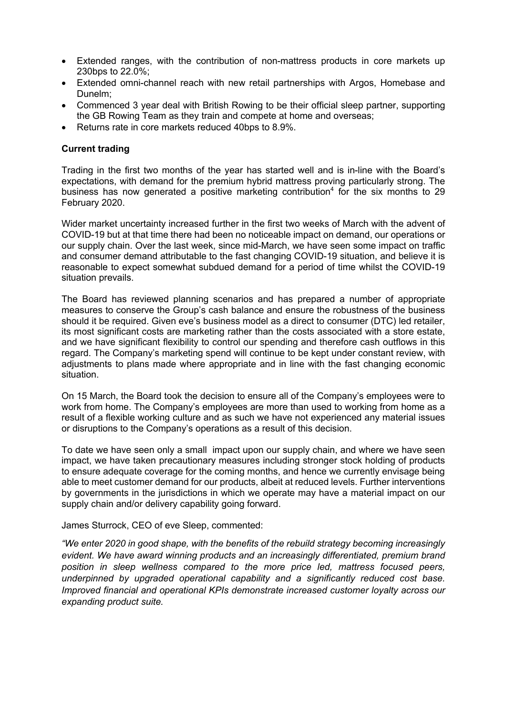- Extended ranges, with the contribution of non-mattress products in core markets up 230bps to 22.0%;
- Extended omni-channel reach with new retail partnerships with Argos, Homebase and Dunelm;
- Commenced 3 year deal with British Rowing to be their official sleep partner, supporting the GB Rowing Team as they train and compete at home and overseas;
- Returns rate in core markets reduced 40bps to 8.9%.

#### **Current trading**

Trading in the first two months of the year has started well and is in-line with the Board's expectations, with demand for the premium hybrid mattress proving particularly strong. The business has now generated a positive marketing contribution<sup>4</sup> for the six months to 29 February 2020.

Wider market uncertainty increased further in the first two weeks of March with the advent of COVID-19 but at that time there had been no noticeable impact on demand, our operations or our supply chain. Over the last week, since mid-March, we have seen some impact on traffic and consumer demand attributable to the fast changing COVID-19 situation, and believe it is reasonable to expect somewhat subdued demand for a period of time whilst the COVID-19 situation prevails.

The Board has reviewed planning scenarios and has prepared a number of appropriate measures to conserve the Group's cash balance and ensure the robustness of the business should it be required. Given eve's business model as a direct to consumer (DTC) led retailer, its most significant costs are marketing rather than the costs associated with a store estate, and we have significant flexibility to control our spending and therefore cash outflows in this regard. The Company's marketing spend will continue to be kept under constant review, with adjustments to plans made where appropriate and in line with the fast changing economic situation.

On 15 March, the Board took the decision to ensure all of the Company's employees were to work from home. The Company's employees are more than used to working from home as a result of a flexible working culture and as such we have not experienced any material issues or disruptions to the Company's operations as a result of this decision.

To date we have seen only a small impact upon our supply chain, and where we have seen impact, we have taken precautionary measures including stronger stock holding of products to ensure adequate coverage for the coming months, and hence we currently envisage being able to meet customer demand for our products, albeit at reduced levels. Further interventions by governments in the jurisdictions in which we operate may have a material impact on our supply chain and/or delivery capability going forward.

James Sturrock, CEO of eve Sleep, commented:

*"We enter 2020 in good shape, with the benefits of the rebuild strategy becoming increasingly evident. We have award winning products and an increasingly differentiated, premium brand position in sleep wellness compared to the more price led, mattress focused peers, underpinned by upgraded operational capability and a significantly reduced cost base. Improved financial and operational KPIs demonstrate increased customer loyalty across our expanding product suite.*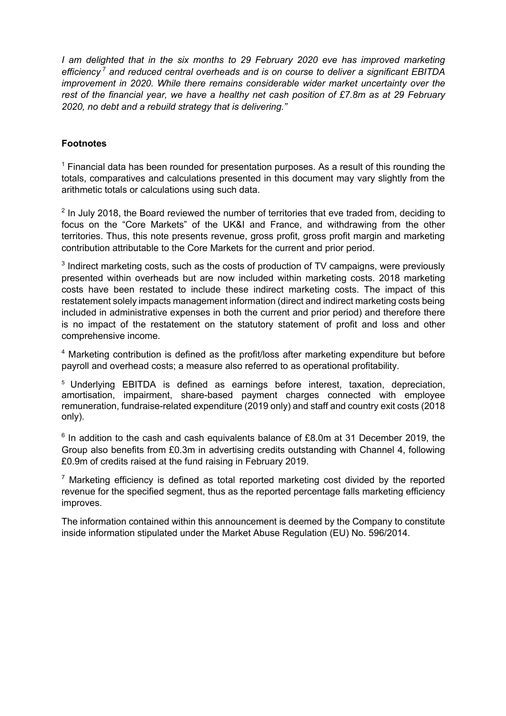*I* am delighted that in the six months to 29 February 2020 eve has improved marketing *efficiency* <sup>7</sup> *and reduced central overheads and is on course to deliver a significant EBITDA improvement in 2020. While there remains considerable wider market uncertainty over the rest of the financial year, we have a healthy net cash position of £7.8m as at 29 February 2020, no debt and a rebuild strategy that is delivering."* 

## **Footnotes**

 $<sup>1</sup>$  Financial data has been rounded for presentation purposes. As a result of this rounding the</sup> totals, comparatives and calculations presented in this document may vary slightly from the arithmetic totals or calculations using such data.

 $2$  In July 2018, the Board reviewed the number of territories that eve traded from, deciding to focus on the "Core Markets" of the UK&I and France, and withdrawing from the other territories. Thus, this note presents revenue, gross profit, gross profit margin and marketing contribution attributable to the Core Markets for the current and prior period.

 $3$  Indirect marketing costs, such as the costs of production of TV campaigns, were previously presented within overheads but are now included within marketing costs. 2018 marketing costs have been restated to include these indirect marketing costs. The impact of this restatement solely impacts management information (direct and indirect marketing costs being included in administrative expenses in both the current and prior period) and therefore there is no impact of the restatement on the statutory statement of profit and loss and other comprehensive income.

<sup>4</sup> Marketing contribution is defined as the profit/loss after marketing expenditure but before payroll and overhead costs; a measure also referred to as operational profitability.

<sup>5</sup> Underlying EBITDA is defined as earnings before interest, taxation, depreciation, amortisation, impairment, share-based payment charges connected with employee remuneration, fundraise-related expenditure (2019 only) and staff and country exit costs (2018 only).

 $6$  In addition to the cash and cash equivalents balance of £8.0m at 31 December 2019, the Group also benefits from £0.3m in advertising credits outstanding with Channel 4, following £0.9m of credits raised at the fund raising in February 2019.

 $<sup>7</sup>$  Marketing efficiency is defined as total reported marketing cost divided by the reported</sup> revenue for the specified segment, thus as the reported percentage falls marketing efficiency improves.

The information contained within this announcement is deemed by the Company to constitute inside information stipulated under the Market Abuse Regulation (EU) No. 596/2014.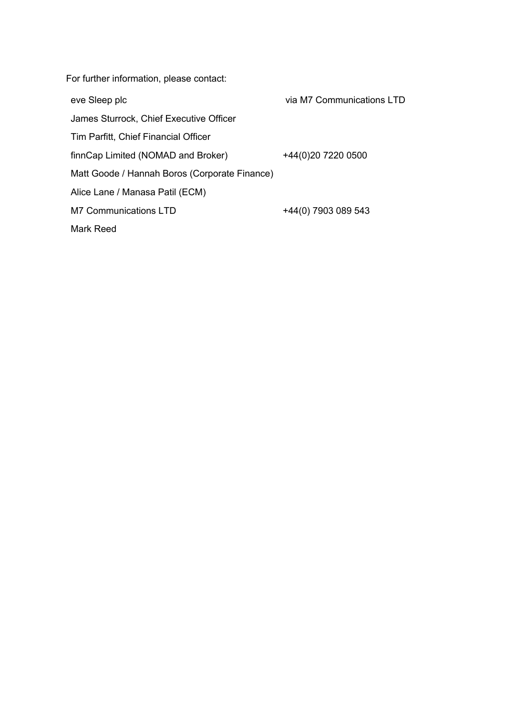For further information, please contact:

eve Sleep plc

James Sturrock, Chief Executive Officer

Tim Parfitt, Chief Financial Officer

finnCap Limited (NOMAD and Broker)

Matt Goode / Hannah Boros (Corporate Finance)

Alice Lane / Manasa Patil (ECM)

M7 Communications LTD +44(0) 7903 089 543

via M7 Communications LTD

+44(0)20 7220 0500

Mark Reed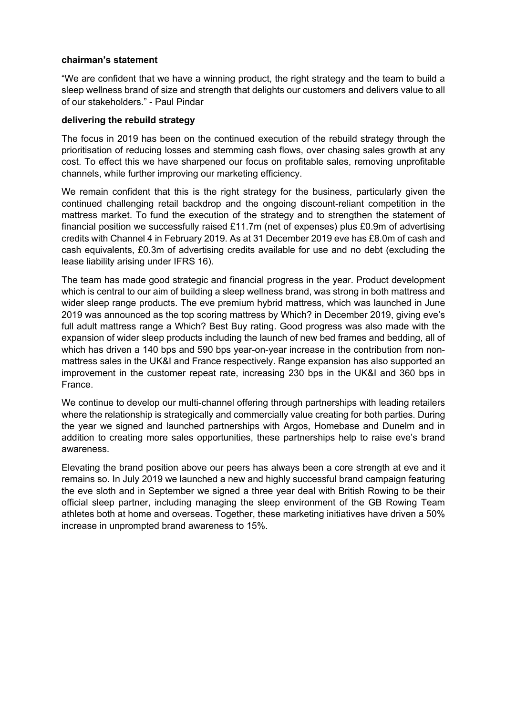#### **chairman's statement**

"We are confident that we have a winning product, the right strategy and the team to build a sleep wellness brand of size and strength that delights our customers and delivers value to all of our stakeholders." - Paul Pindar

#### **delivering the rebuild strategy**

The focus in 2019 has been on the continued execution of the rebuild strategy through the prioritisation of reducing losses and stemming cash flows, over chasing sales growth at any cost. To effect this we have sharpened our focus on profitable sales, removing unprofitable channels, while further improving our marketing efficiency.

We remain confident that this is the right strategy for the business, particularly given the continued challenging retail backdrop and the ongoing discount-reliant competition in the mattress market. To fund the execution of the strategy and to strengthen the statement of financial position we successfully raised £11.7m (net of expenses) plus £0.9m of advertising credits with Channel 4 in February 2019. As at 31 December 2019 eve has £8.0m of cash and cash equivalents, £0.3m of advertising credits available for use and no debt (excluding the lease liability arising under IFRS 16).

The team has made good strategic and financial progress in the year. Product development which is central to our aim of building a sleep wellness brand, was strong in both mattress and wider sleep range products. The eve premium hybrid mattress, which was launched in June 2019 was announced as the top scoring mattress by Which? in December 2019, giving eve's full adult mattress range a Which? Best Buy rating. Good progress was also made with the expansion of wider sleep products including the launch of new bed frames and bedding, all of which has driven a 140 bps and 590 bps year-on-year increase in the contribution from nonmattress sales in the UK&I and France respectively. Range expansion has also supported an improvement in the customer repeat rate, increasing 230 bps in the UK&I and 360 bps in France.

We continue to develop our multi-channel offering through partnerships with leading retailers where the relationship is strategically and commercially value creating for both parties. During the year we signed and launched partnerships with Argos, Homebase and Dunelm and in addition to creating more sales opportunities, these partnerships help to raise eve's brand awareness.

Elevating the brand position above our peers has always been a core strength at eve and it remains so. In July 2019 we launched a new and highly successful brand campaign featuring the eve sloth and in September we signed a three year deal with British Rowing to be their official sleep partner, including managing the sleep environment of the GB Rowing Team athletes both at home and overseas. Together, these marketing initiatives have driven a 50% increase in unprompted brand awareness to 15%.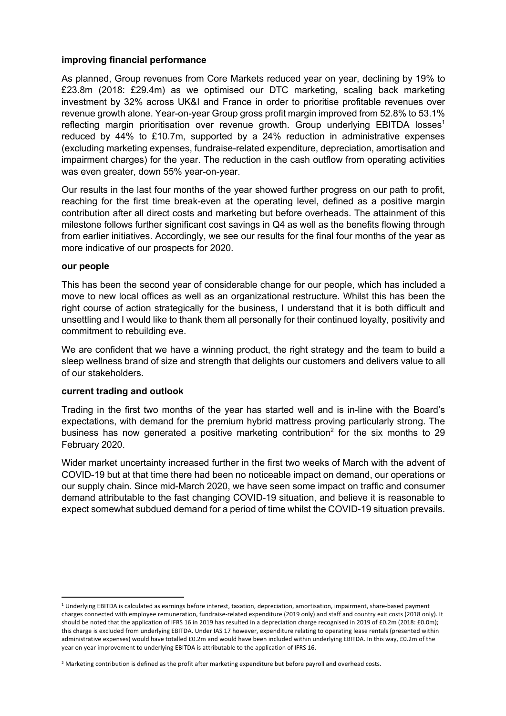#### **improving financial performance**

As planned, Group revenues from Core Markets reduced year on year, declining by 19% to £23.8m (2018: £29.4m) as we optimised our DTC marketing, scaling back marketing investment by 32% across UK&I and France in order to prioritise profitable revenues over revenue growth alone. Year-on-year Group gross profit margin improved from 52.8% to 53.1% reflecting margin prioritisation over revenue growth. Group underlying EBITDA losses<sup>1</sup> reduced by 44% to £10.7m, supported by a 24% reduction in administrative expenses (excluding marketing expenses, fundraise-related expenditure, depreciation, amortisation and impairment charges) for the year. The reduction in the cash outflow from operating activities was even greater, down 55% year-on-year.

Our results in the last four months of the year showed further progress on our path to profit, reaching for the first time break-even at the operating level, defined as a positive margin contribution after all direct costs and marketing but before overheads. The attainment of this milestone follows further significant cost savings in Q4 as well as the benefits flowing through from earlier initiatives. Accordingly, we see our results for the final four months of the year as more indicative of our prospects for 2020.

#### **our people**

This has been the second year of considerable change for our people, which has included a move to new local offices as well as an organizational restructure. Whilst this has been the right course of action strategically for the business, I understand that it is both difficult and unsettling and I would like to thank them all personally for their continued loyalty, positivity and commitment to rebuilding eve.

We are confident that we have a winning product, the right strategy and the team to build a sleep wellness brand of size and strength that delights our customers and delivers value to all of our stakeholders.

#### **current trading and outlook**

Trading in the first two months of the year has started well and is in-line with the Board's expectations, with demand for the premium hybrid mattress proving particularly strong. The business has now generated a positive marketing contribution<sup>2</sup> for the six months to 29 February 2020.

Wider market uncertainty increased further in the first two weeks of March with the advent of COVID-19 but at that time there had been no noticeable impact on demand, our operations or our supply chain. Since mid-March 2020, we have seen some impact on traffic and consumer demand attributable to the fast changing COVID-19 situation, and believe it is reasonable to expect somewhat subdued demand for a period of time whilst the COVID-19 situation prevails.

<sup>1</sup> Underlying EBITDA is calculated as earnings before interest, taxation, depreciation, amortisation, impairment, share-based payment charges connected with employee remuneration, fundraise-related expenditure (2019 only) and staff and country exit costs (2018 only). It should be noted that the application of IFRS 16 in 2019 has resulted in a depreciation charge recognised in 2019 of £0.2m (2018: £0.0m); this charge is excluded from underlying EBITDA. Under IAS 17 however, expenditure relating to operating lease rentals (presented within administrative expenses) would have totalled £0.2m and would have been included within underlying EBITDA. In this way, £0.2m of the year on year improvement to underlying EBITDA is attributable to the application of IFRS 16.

<sup>&</sup>lt;sup>2</sup> Marketing contribution is defined as the profit after marketing expenditure but before payroll and overhead costs.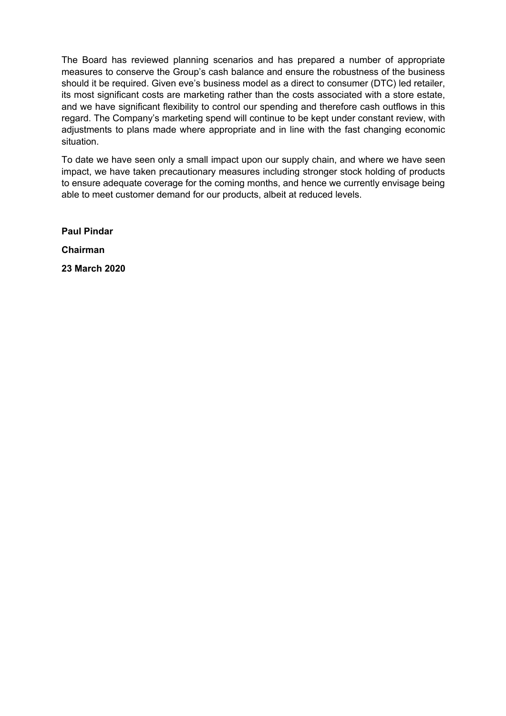The Board has reviewed planning scenarios and has prepared a number of appropriate measures to conserve the Group's cash balance and ensure the robustness of the business should it be required. Given eve's business model as a direct to consumer (DTC) led retailer, its most significant costs are marketing rather than the costs associated with a store estate, and we have significant flexibility to control our spending and therefore cash outflows in this regard. The Company's marketing spend will continue to be kept under constant review, with adjustments to plans made where appropriate and in line with the fast changing economic situation.

To date we have seen only a small impact upon our supply chain, and where we have seen impact, we have taken precautionary measures including stronger stock holding of products to ensure adequate coverage for the coming months, and hence we currently envisage being able to meet customer demand for our products, albeit at reduced levels.

**Paul Pindar Chairman 23 March 2020**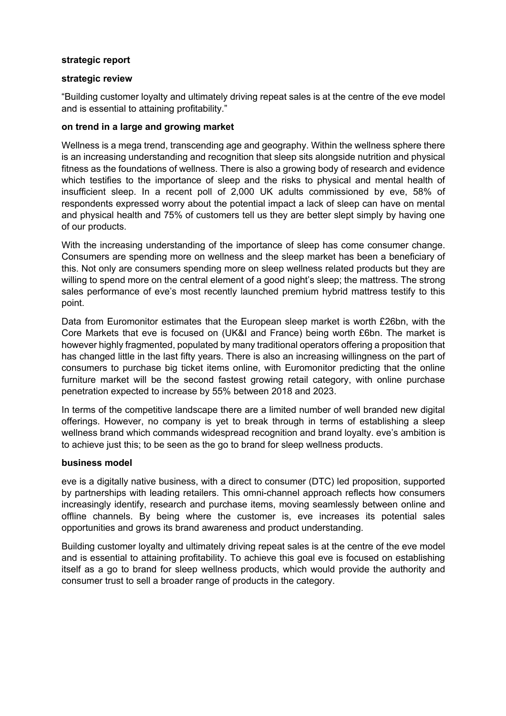#### **strategic report**

#### **strategic review**

"Building customer loyalty and ultimately driving repeat sales is at the centre of the eve model and is essential to attaining profitability."

#### **on trend in a large and growing market**

Wellness is a mega trend, transcending age and geography. Within the wellness sphere there is an increasing understanding and recognition that sleep sits alongside nutrition and physical fitness as the foundations of wellness. There is also a growing body of research and evidence which testifies to the importance of sleep and the risks to physical and mental health of insufficient sleep. In a recent poll of 2,000 UK adults commissioned by eve, 58% of respondents expressed worry about the potential impact a lack of sleep can have on mental and physical health and 75% of customers tell us they are better slept simply by having one of our products.

With the increasing understanding of the importance of sleep has come consumer change. Consumers are spending more on wellness and the sleep market has been a beneficiary of this. Not only are consumers spending more on sleep wellness related products but they are willing to spend more on the central element of a good night's sleep; the mattress. The strong sales performance of eve's most recently launched premium hybrid mattress testify to this point.

Data from Euromonitor estimates that the European sleep market is worth £26bn, with the Core Markets that eve is focused on (UK&I and France) being worth £6bn. The market is however highly fragmented, populated by many traditional operators offering a proposition that has changed little in the last fifty years. There is also an increasing willingness on the part of consumers to purchase big ticket items online, with Euromonitor predicting that the online furniture market will be the second fastest growing retail category, with online purchase penetration expected to increase by 55% between 2018 and 2023.

In terms of the competitive landscape there are a limited number of well branded new digital offerings. However, no company is yet to break through in terms of establishing a sleep wellness brand which commands widespread recognition and brand loyalty. eve's ambition is to achieve just this; to be seen as the go to brand for sleep wellness products.

#### **business model**

eve is a digitally native business, with a direct to consumer (DTC) led proposition, supported by partnerships with leading retailers. This omni-channel approach reflects how consumers increasingly identify, research and purchase items, moving seamlessly between online and offline channels. By being where the customer is, eve increases its potential sales opportunities and grows its brand awareness and product understanding.

Building customer loyalty and ultimately driving repeat sales is at the centre of the eve model and is essential to attaining profitability. To achieve this goal eve is focused on establishing itself as a go to brand for sleep wellness products, which would provide the authority and consumer trust to sell a broader range of products in the category.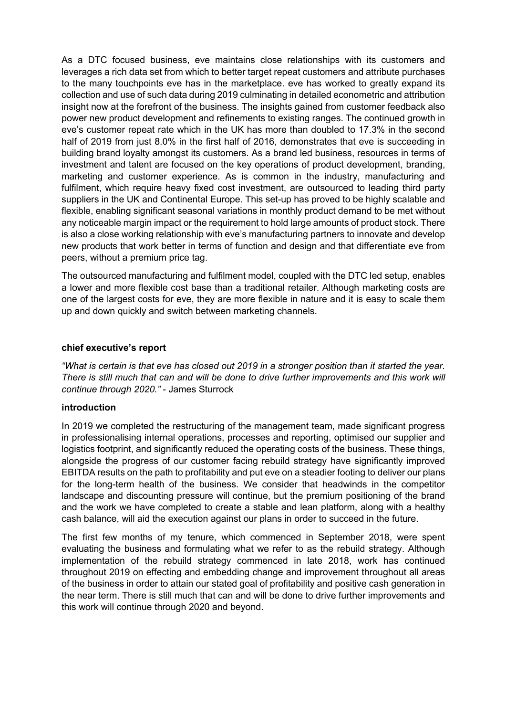As a DTC focused business, eve maintains close relationships with its customers and leverages a rich data set from which to better target repeat customers and attribute purchases to the many touchpoints eve has in the marketplace. eve has worked to greatly expand its collection and use of such data during 2019 culminating in detailed econometric and attribution insight now at the forefront of the business. The insights gained from customer feedback also power new product development and refinements to existing ranges. The continued growth in eve's customer repeat rate which in the UK has more than doubled to 17.3% in the second half of 2019 from just 8.0% in the first half of 2016, demonstrates that eve is succeeding in building brand loyalty amongst its customers. As a brand led business, resources in terms of investment and talent are focused on the key operations of product development, branding, marketing and customer experience. As is common in the industry, manufacturing and fulfilment, which require heavy fixed cost investment, are outsourced to leading third party suppliers in the UK and Continental Europe. This set-up has proved to be highly scalable and flexible, enabling significant seasonal variations in monthly product demand to be met without any noticeable margin impact or the requirement to hold large amounts of product stock. There is also a close working relationship with eve's manufacturing partners to innovate and develop new products that work better in terms of function and design and that differentiate eve from peers, without a premium price tag.

The outsourced manufacturing and fulfilment model, coupled with the DTC led setup, enables a lower and more flexible cost base than a traditional retailer. Although marketing costs are one of the largest costs for eve, they are more flexible in nature and it is easy to scale them up and down quickly and switch between marketing channels.

#### **chief executive's report**

*"What is certain is that eve has closed out 2019 in a stronger position than it started the year. There is still much that can and will be done to drive further improvements and this work will continue through 2020."* - James Sturrock

#### **introduction**

In 2019 we completed the restructuring of the management team, made significant progress in professionalising internal operations, processes and reporting, optimised our supplier and logistics footprint, and significantly reduced the operating costs of the business. These things, alongside the progress of our customer facing rebuild strategy have significantly improved EBITDA results on the path to profitability and put eve on a steadier footing to deliver our plans for the long-term health of the business. We consider that headwinds in the competitor landscape and discounting pressure will continue, but the premium positioning of the brand and the work we have completed to create a stable and lean platform, along with a healthy cash balance, will aid the execution against our plans in order to succeed in the future.

The first few months of my tenure, which commenced in September 2018, were spent evaluating the business and formulating what we refer to as the rebuild strategy. Although implementation of the rebuild strategy commenced in late 2018, work has continued throughout 2019 on effecting and embedding change and improvement throughout all areas of the business in order to attain our stated goal of profitability and positive cash generation in the near term. There is still much that can and will be done to drive further improvements and this work will continue through 2020 and beyond.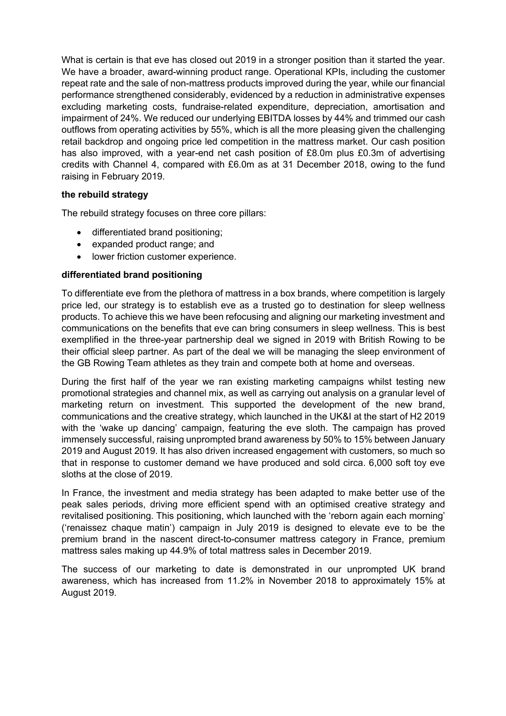What is certain is that eve has closed out 2019 in a stronger position than it started the year. We have a broader, award-winning product range. Operational KPIs, including the customer repeat rate and the sale of non-mattress products improved during the year, while our financial performance strengthened considerably, evidenced by a reduction in administrative expenses excluding marketing costs, fundraise-related expenditure, depreciation, amortisation and impairment of 24%. We reduced our underlying EBITDA losses by 44% and trimmed our cash outflows from operating activities by 55%, which is all the more pleasing given the challenging retail backdrop and ongoing price led competition in the mattress market. Our cash position has also improved, with a year-end net cash position of £8.0m plus £0.3m of advertising credits with Channel 4, compared with £6.0m as at 31 December 2018, owing to the fund raising in February 2019.

## **the rebuild strategy**

The rebuild strategy focuses on three core pillars:

- differentiated brand positioning;
- expanded product range; and
- lower friction customer experience.

## **differentiated brand positioning**

To differentiate eve from the plethora of mattress in a box brands, where competition is largely price led, our strategy is to establish eve as a trusted go to destination for sleep wellness products. To achieve this we have been refocusing and aligning our marketing investment and communications on the benefits that eve can bring consumers in sleep wellness. This is best exemplified in the three-year partnership deal we signed in 2019 with British Rowing to be their official sleep partner. As part of the deal we will be managing the sleep environment of the GB Rowing Team athletes as they train and compete both at home and overseas.

During the first half of the year we ran existing marketing campaigns whilst testing new promotional strategies and channel mix, as well as carrying out analysis on a granular level of marketing return on investment. This supported the development of the new brand, communications and the creative strategy, which launched in the UK&I at the start of H2 2019 with the 'wake up dancing' campaign, featuring the eve sloth. The campaign has proved immensely successful, raising unprompted brand awareness by 50% to 15% between January 2019 and August 2019. It has also driven increased engagement with customers, so much so that in response to customer demand we have produced and sold circa. 6,000 soft toy eve sloths at the close of 2019.

In France, the investment and media strategy has been adapted to make better use of the peak sales periods, driving more efficient spend with an optimised creative strategy and revitalised positioning. This positioning, which launched with the 'reborn again each morning' ('renaissez chaque matin') campaign in July 2019 is designed to elevate eve to be the premium brand in the nascent direct-to-consumer mattress category in France, premium mattress sales making up 44.9% of total mattress sales in December 2019.

The success of our marketing to date is demonstrated in our unprompted UK brand awareness, which has increased from 11.2% in November 2018 to approximately 15% at August 2019.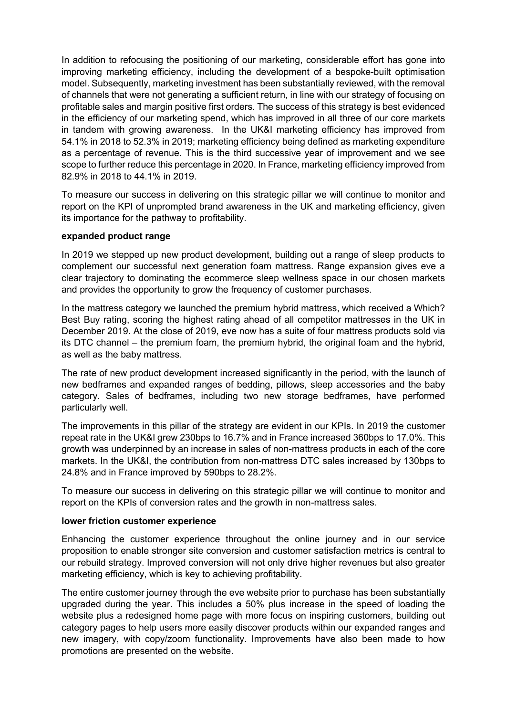In addition to refocusing the positioning of our marketing, considerable effort has gone into improving marketing efficiency, including the development of a bespoke-built optimisation model. Subsequently, marketing investment has been substantially reviewed, with the removal of channels that were not generating a sufficient return, in line with our strategy of focusing on profitable sales and margin positive first orders. The success of this strategy is best evidenced in the efficiency of our marketing spend, which has improved in all three of our core markets in tandem with growing awareness. In the UK&I marketing efficiency has improved from 54.1% in 2018 to 52.3% in 2019; marketing efficiency being defined as marketing expenditure as a percentage of revenue. This is the third successive year of improvement and we see scope to further reduce this percentage in 2020. In France, marketing efficiency improved from 82.9% in 2018 to 44.1% in 2019.

To measure our success in delivering on this strategic pillar we will continue to monitor and report on the KPI of unprompted brand awareness in the UK and marketing efficiency, given its importance for the pathway to profitability.

#### **expanded product range**

In 2019 we stepped up new product development, building out a range of sleep products to complement our successful next generation foam mattress. Range expansion gives eve a clear trajectory to dominating the ecommerce sleep wellness space in our chosen markets and provides the opportunity to grow the frequency of customer purchases.

In the mattress category we launched the premium hybrid mattress, which received a Which? Best Buy rating, scoring the highest rating ahead of all competitor mattresses in the UK in December 2019. At the close of 2019, eve now has a suite of four mattress products sold via its DTC channel – the premium foam, the premium hybrid, the original foam and the hybrid, as well as the baby mattress.

The rate of new product development increased significantly in the period, with the launch of new bedframes and expanded ranges of bedding, pillows, sleep accessories and the baby category. Sales of bedframes, including two new storage bedframes, have performed particularly well.

The improvements in this pillar of the strategy are evident in our KPIs. In 2019 the customer repeat rate in the UK&I grew 230bps to 16.7% and in France increased 360bps to 17.0%. This growth was underpinned by an increase in sales of non-mattress products in each of the core markets. In the UK&I, the contribution from non-mattress DTC sales increased by 130bps to 24.8% and in France improved by 590bps to 28.2%.

To measure our success in delivering on this strategic pillar we will continue to monitor and report on the KPIs of conversion rates and the growth in non-mattress sales.

#### **lower friction customer experience**

Enhancing the customer experience throughout the online journey and in our service proposition to enable stronger site conversion and customer satisfaction metrics is central to our rebuild strategy. Improved conversion will not only drive higher revenues but also greater marketing efficiency, which is key to achieving profitability.

The entire customer journey through the eve website prior to purchase has been substantially upgraded during the year. This includes a 50% plus increase in the speed of loading the website plus a redesigned home page with more focus on inspiring customers, building out category pages to help users more easily discover products within our expanded ranges and new imagery, with copy/zoom functionality. Improvements have also been made to how promotions are presented on the website.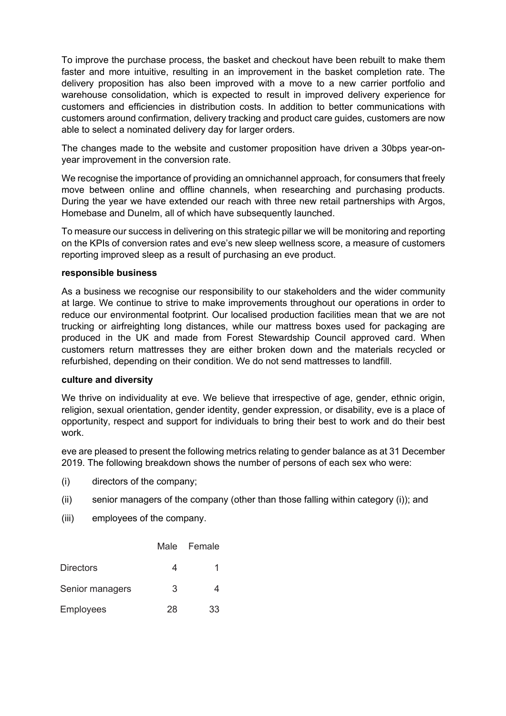To improve the purchase process, the basket and checkout have been rebuilt to make them faster and more intuitive, resulting in an improvement in the basket completion rate. The delivery proposition has also been improved with a move to a new carrier portfolio and warehouse consolidation, which is expected to result in improved delivery experience for customers and efficiencies in distribution costs. In addition to better communications with customers around confirmation, delivery tracking and product care guides, customers are now able to select a nominated delivery day for larger orders.

The changes made to the website and customer proposition have driven a 30bps year-onyear improvement in the conversion rate.

We recognise the importance of providing an omnichannel approach, for consumers that freely move between online and offline channels, when researching and purchasing products. During the year we have extended our reach with three new retail partnerships with Argos, Homebase and Dunelm, all of which have subsequently launched.

To measure our success in delivering on this strategic pillar we will be monitoring and reporting on the KPIs of conversion rates and eve's new sleep wellness score, a measure of customers reporting improved sleep as a result of purchasing an eve product.

#### **responsible business**

As a business we recognise our responsibility to our stakeholders and the wider community at large. We continue to strive to make improvements throughout our operations in order to reduce our environmental footprint. Our localised production facilities mean that we are not trucking or airfreighting long distances, while our mattress boxes used for packaging are produced in the UK and made from Forest Stewardship Council approved card. When customers return mattresses they are either broken down and the materials recycled or refurbished, depending on their condition. We do not send mattresses to landfill.

#### **culture and diversity**

We thrive on individuality at eve. We believe that irrespective of age, gender, ethnic origin, religion, sexual orientation, gender identity, gender expression, or disability, eve is a place of opportunity, respect and support for individuals to bring their best to work and do their best work.

eve are pleased to present the following metrics relating to gender balance as at 31 December 2019. The following breakdown shows the number of persons of each sex who were:

- (i) directors of the company;
- (ii) senior managers of the company (other than those falling within category (i)); and
- (iii) employees of the company.

|                  |    | Male Female |
|------------------|----|-------------|
| <b>Directors</b> |    |             |
| Senior managers  | 3  |             |
| <b>Employees</b> | 28 | 33          |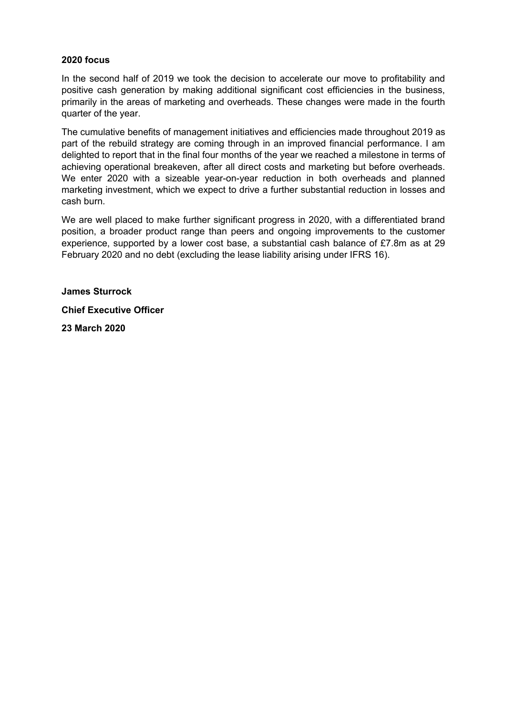## **2020 focus**

In the second half of 2019 we took the decision to accelerate our move to profitability and positive cash generation by making additional significant cost efficiencies in the business, primarily in the areas of marketing and overheads. These changes were made in the fourth quarter of the year.

The cumulative benefits of management initiatives and efficiencies made throughout 2019 as part of the rebuild strategy are coming through in an improved financial performance. I am delighted to report that in the final four months of the year we reached a milestone in terms of achieving operational breakeven, after all direct costs and marketing but before overheads. We enter 2020 with a sizeable year-on-year reduction in both overheads and planned marketing investment, which we expect to drive a further substantial reduction in losses and cash burn.

We are well placed to make further significant progress in 2020, with a differentiated brand position, a broader product range than peers and ongoing improvements to the customer experience, supported by a lower cost base, a substantial cash balance of £7.8m as at 29 February 2020 and no debt (excluding the lease liability arising under IFRS 16).

**James Sturrock** 

**Chief Executive Officer** 

**23 March 2020**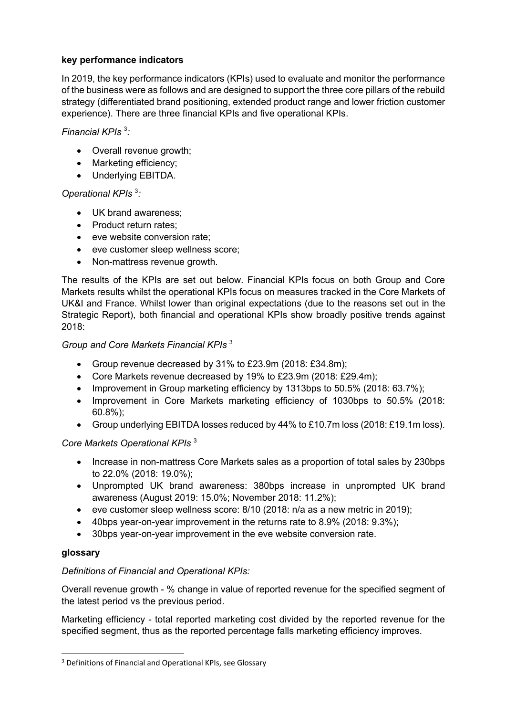## **key performance indicators**

In 2019, the key performance indicators (KPIs) used to evaluate and monitor the performance of the business were as follows and are designed to support the three core pillars of the rebuild strategy (differentiated brand positioning, extended product range and lower friction customer experience). There are three financial KPIs and five operational KPIs.

## *Financial KPIs* <sup>3</sup> *:*

- Overall revenue growth;
- Marketing efficiency;
- Underlying EBITDA.

## *Operational KPIs* <sup>3</sup> *:*

- UK brand awareness;
- Product return rates:
- eve website conversion rate;
- eve customer sleep wellness score;
- Non-mattress revenue growth.

The results of the KPIs are set out below. Financial KPIs focus on both Group and Core Markets results whilst the operational KPIs focus on measures tracked in the Core Markets of UK&I and France. Whilst lower than original expectations (due to the reasons set out in the Strategic Report), both financial and operational KPIs show broadly positive trends against 2018:

## *Group and Core Markets Financial KPIs* <sup>3</sup>

- Group revenue decreased by 31% to £23.9m (2018: £34.8m);
- Core Markets revenue decreased by 19% to £23.9m (2018: £29.4m);
- Improvement in Group marketing efficiency by 1313bps to 50.5% (2018: 63.7%);
- Improvement in Core Markets marketing efficiency of 1030bps to 50.5% (2018: 60.8%);
- Group underlying EBITDA losses reduced by 44% to £10.7m loss (2018: £19.1m loss).

## *Core Markets Operational KPIs* <sup>3</sup>

- Increase in non-mattress Core Markets sales as a proportion of total sales by 230bps to 22.0% (2018: 19.0%);
- Unprompted UK brand awareness: 380bps increase in unprompted UK brand awareness (August 2019: 15.0%; November 2018: 11.2%);
- eve customer sleep wellness score: 8/10 (2018: n/a as a new metric in 2019);
- 40bps year-on-year improvement in the returns rate to 8.9% (2018: 9.3%);
- 30bps year-on-year improvement in the eve website conversion rate.

## **glossary**

## *Definitions of Financial and Operational KPIs:*

Overall revenue growth - % change in value of reported revenue for the specified segment of the latest period vs the previous period.

Marketing efficiency - total reported marketing cost divided by the reported revenue for the specified segment, thus as the reported percentage falls marketing efficiency improves.

<sup>&</sup>lt;sup>3</sup> Definitions of Financial and Operational KPIs, see Glossary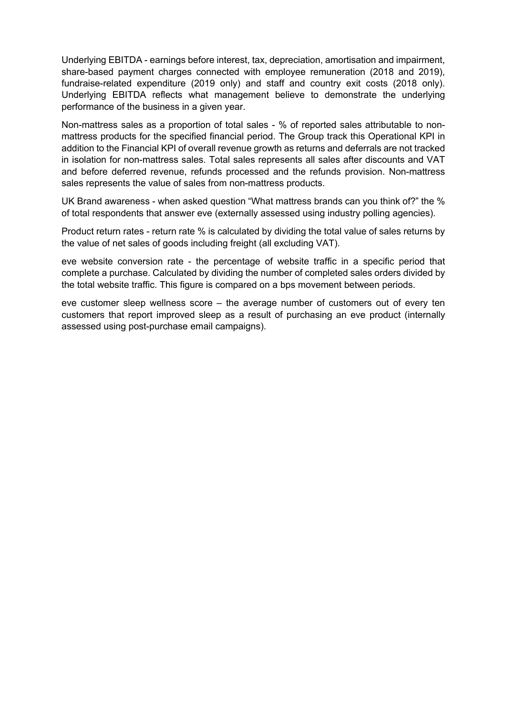Underlying EBITDA - earnings before interest, tax, depreciation, amortisation and impairment, share-based payment charges connected with employee remuneration (2018 and 2019), fundraise-related expenditure (2019 only) and staff and country exit costs (2018 only). Underlying EBITDA reflects what management believe to demonstrate the underlying performance of the business in a given year.

Non-mattress sales as a proportion of total sales - % of reported sales attributable to nonmattress products for the specified financial period. The Group track this Operational KPI in addition to the Financial KPI of overall revenue growth as returns and deferrals are not tracked in isolation for non-mattress sales. Total sales represents all sales after discounts and VAT and before deferred revenue, refunds processed and the refunds provision. Non-mattress sales represents the value of sales from non-mattress products.

UK Brand awareness - when asked question "What mattress brands can you think of?" the % of total respondents that answer eve (externally assessed using industry polling agencies).

Product return rates - return rate % is calculated by dividing the total value of sales returns by the value of net sales of goods including freight (all excluding VAT).

eve website conversion rate - the percentage of website traffic in a specific period that complete a purchase. Calculated by dividing the number of completed sales orders divided by the total website traffic. This figure is compared on a bps movement between periods.

eve customer sleep wellness score – the average number of customers out of every ten customers that report improved sleep as a result of purchasing an eve product (internally assessed using post-purchase email campaigns).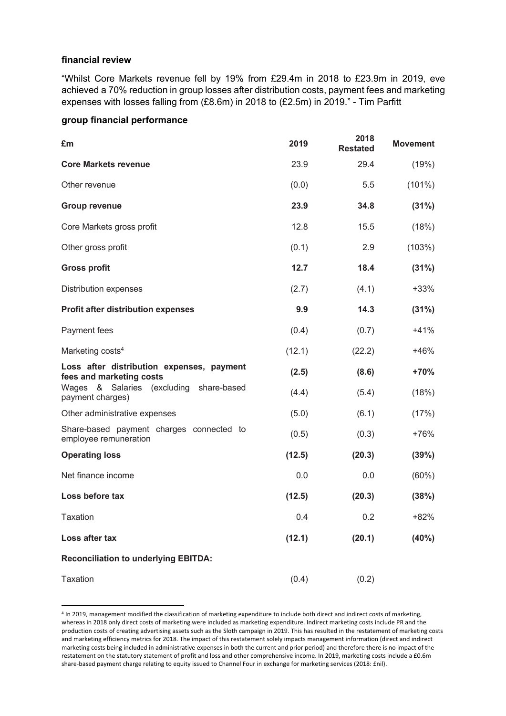#### **financial review**

"Whilst Core Markets revenue fell by 19% from £29.4m in 2018 to £23.9m in 2019, eve achieved a 70% reduction in group losses after distribution costs, payment fees and marketing expenses with losses falling from (£8.6m) in 2018 to (£2.5m) in 2019." - Tim Parfitt

#### **group financial performance**

| £m                                                                    | 2019   | 2018<br><b>Restated</b> | <b>Movement</b> |
|-----------------------------------------------------------------------|--------|-------------------------|-----------------|
| <b>Core Markets revenue</b>                                           | 23.9   | 29.4                    | (19%)           |
| Other revenue                                                         | (0.0)  | 5.5                     | $(101\%)$       |
| <b>Group revenue</b>                                                  | 23.9   | 34.8                    | (31%)           |
| Core Markets gross profit                                             | 12.8   | 15.5                    | (18%)           |
| Other gross profit                                                    | (0.1)  | 2.9                     | (103%)          |
| <b>Gross profit</b>                                                   | 12.7   | 18.4                    | (31%)           |
| Distribution expenses                                                 | (2.7)  | (4.1)                   | $+33%$          |
| <b>Profit after distribution expenses</b>                             | 9.9    | 14.3                    | (31%)           |
| Payment fees                                                          | (0.4)  | (0.7)                   | $+41%$          |
| Marketing costs <sup>4</sup>                                          | (12.1) | (22.2)                  | $+46%$          |
| Loss after distribution expenses, payment<br>fees and marketing costs | (2.5)  | (8.6)                   | +70%            |
| Wages & Salaries (excluding share-based<br>payment charges)           | (4.4)  | (5.4)                   | (18%)           |
| Other administrative expenses                                         | (5.0)  | (6.1)                   | (17%)           |
| Share-based payment charges connected to<br>employee remuneration     | (0.5)  | (0.3)                   | $+76%$          |
| <b>Operating loss</b>                                                 | (12.5) | (20.3)                  | (39%)           |
| Net finance income                                                    | 0.0    | 0.0                     | (60%)           |
| Loss before tax                                                       | (12.5) | (20.3)                  | (38%)           |
| Taxation                                                              | 0.4    | 0.2                     | +82%            |
| Loss after tax                                                        | (12.1) | (20.1)                  | (40%)           |
| <b>Reconciliation to underlying EBITDA:</b>                           |        |                         |                 |
| <b>Taxation</b>                                                       | (0.4)  | (0.2)                   |                 |

<sup>4</sup> In 2019, management modified the classification of marketing expenditure to include both direct and indirect costs of marketing, whereas in 2018 only direct costs of marketing were included as marketing expenditure. Indirect marketing costs include PR and the production costs of creating advertising assets such as the Sloth campaign in 2019. This has resulted in the restatement of marketing costs and marketing efficiency metrics for 2018. The impact of this restatement solely impacts management information (direct and indirect marketing costs being included in administrative expenses in both the current and prior period) and therefore there is no impact of the restatement on the statutory statement of profit and loss and other comprehensive income. In 2019, marketing costs include a £0.6m share-based payment charge relating to equity issued to Channel Four in exchange for marketing services (2018: £nil).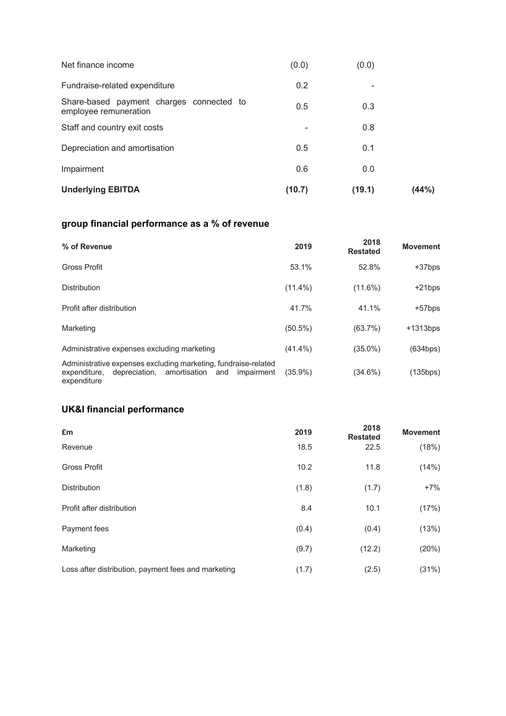| <b>Underlying EBITDA</b>                                          | (10.7) | (19.1) | (44%) |
|-------------------------------------------------------------------|--------|--------|-------|
| Impairment                                                        | 0.6    | 0.0    |       |
| Depreciation and amortisation                                     | 0.5    | 0.1    |       |
| Staff and country exit costs                                      |        | 0.8    |       |
| Share-based payment charges connected to<br>employee remuneration | 0.5    | 0.3    |       |
| Fundraise-related expenditure                                     | 0.2    | -      |       |
| Net finance income                                                | (0.0)  | (0.0)  |       |

# **group financial performance as a % of revenue**

| % of Revenue                                                                                                                                  | 2019       | 2018<br><b>Restated</b> | <b>Movement</b> |
|-----------------------------------------------------------------------------------------------------------------------------------------------|------------|-------------------------|-----------------|
| <b>Gross Profit</b>                                                                                                                           | 53.1%      | 52.8%                   | +37bps          |
| <b>Distribution</b>                                                                                                                           | $(11.4\%)$ | $(11.6\%)$              | $+21bps$        |
| Profit after distribution                                                                                                                     | 41.7%      | 41.1%                   | $+57$ bps       |
| Marketing                                                                                                                                     | $(50.5\%)$ | (63.7%)                 | $+1313bps$      |
| Administrative expenses excluding marketing                                                                                                   | $(41.4\%)$ | $(35.0\%)$              | (634bps)        |
| Administrative expenses excluding marketing, fundraise-related<br>depreciation, amortisation and<br>impairment<br>expenditure,<br>expenditure | $(35.9\%)$ | $(34.6\%)$              | (135bps)        |

## **UK&I financial performance**

| £m                                                  | 2019  | 2018<br><b>Restated</b> | <b>Movement</b> |
|-----------------------------------------------------|-------|-------------------------|-----------------|
| Revenue                                             | 18.5  | 22.5                    | (18%)           |
| <b>Gross Profit</b>                                 | 10.2  | 11.8                    | (14%)           |
| <b>Distribution</b>                                 | (1.8) | (1.7)                   | $+7%$           |
| Profit after distribution                           | 8.4   | 10.1                    | (17%)           |
| Payment fees                                        | (0.4) | (0.4)                   | (13%)           |
| Marketing                                           | (9.7) | (12.2)                  | (20%)           |
| Loss after distribution, payment fees and marketing | (1.7) | (2.5)                   | (31%)           |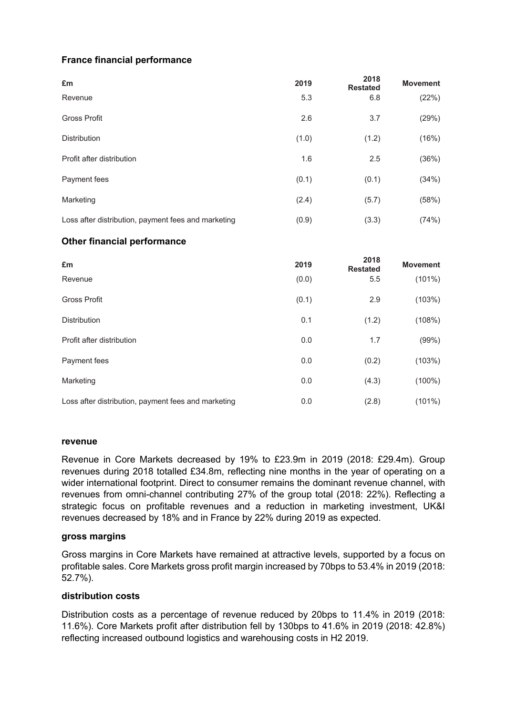## **France financial performance**

| £m                                                  | 2019  | 2018<br><b>Restated</b> | <b>Movement</b> |
|-----------------------------------------------------|-------|-------------------------|-----------------|
| Revenue                                             | 5.3   | 6.8                     | (22%)           |
| <b>Gross Profit</b>                                 | 2.6   | 3.7                     | (29%)           |
| <b>Distribution</b>                                 | (1.0) | (1.2)                   | (16%)           |
| Profit after distribution                           | 1.6   | 2.5                     | (36%)           |
| Payment fees                                        | (0.1) | (0.1)                   | (34%)           |
| Marketing                                           | (2.4) | (5.7)                   | (58%)           |
| Loss after distribution, payment fees and marketing | (0.9) | (3.3)                   | (74%)           |

## **Other financial performance**

| £m                                                  | 2019  | 2018<br><b>Restated</b> | <b>Movement</b> |
|-----------------------------------------------------|-------|-------------------------|-----------------|
| Revenue                                             | (0.0) | 5.5                     | $(101\%)$       |
| <b>Gross Profit</b>                                 | (0.1) | 2.9                     | (103%)          |
| <b>Distribution</b>                                 | 0.1   | (1.2)                   | (108%)          |
| Profit after distribution                           | 0.0   | 1.7                     | (99%)           |
| Payment fees                                        | 0.0   | (0.2)                   | (103%)          |
| Marketing                                           | 0.0   | (4.3)                   | $(100\%)$       |
| Loss after distribution, payment fees and marketing | 0.0   | (2.8)                   | $(101\%)$       |

#### **revenue**

Revenue in Core Markets decreased by 19% to £23.9m in 2019 (2018: £29.4m). Group revenues during 2018 totalled £34.8m, reflecting nine months in the year of operating on a wider international footprint. Direct to consumer remains the dominant revenue channel, with revenues from omni-channel contributing 27% of the group total (2018: 22%). Reflecting a strategic focus on profitable revenues and a reduction in marketing investment, UK&I revenues decreased by 18% and in France by 22% during 2019 as expected.

#### **gross margins**

Gross margins in Core Markets have remained at attractive levels, supported by a focus on profitable sales. Core Markets gross profit margin increased by 70bps to 53.4% in 2019 (2018: 52.7%).

## **distribution costs**

Distribution costs as a percentage of revenue reduced by 20bps to 11.4% in 2019 (2018: 11.6%). Core Markets profit after distribution fell by 130bps to 41.6% in 2019 (2018: 42.8%) reflecting increased outbound logistics and warehousing costs in H2 2019.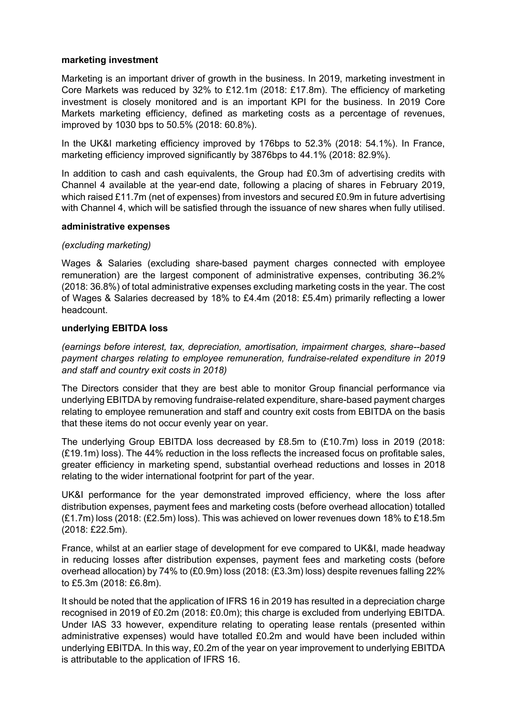#### **marketing investment**

Marketing is an important driver of growth in the business. In 2019, marketing investment in Core Markets was reduced by 32% to £12.1m (2018: £17.8m). The efficiency of marketing investment is closely monitored and is an important KPI for the business. In 2019 Core Markets marketing efficiency, defined as marketing costs as a percentage of revenues, improved by 1030 bps to 50.5% (2018: 60.8%).

In the UK&I marketing efficiency improved by 176bps to 52.3% (2018: 54.1%). In France, marketing efficiency improved significantly by 3876bps to 44.1% (2018: 82.9%).

In addition to cash and cash equivalents, the Group had £0.3m of advertising credits with Channel 4 available at the year-end date, following a placing of shares in February 2019, which raised £11.7m (net of expenses) from investors and secured £0.9m in future advertising with Channel 4, which will be satisfied through the issuance of new shares when fully utilised.

#### **administrative expenses**

## *(excluding marketing)*

Wages & Salaries (excluding share-based payment charges connected with employee remuneration) are the largest component of administrative expenses, contributing 36.2% (2018: 36.8%) of total administrative expenses excluding marketing costs in the year. The cost of Wages & Salaries decreased by 18% to £4.4m (2018: £5.4m) primarily reflecting a lower headcount.

#### **underlying EBITDA loss**

*(earnings before interest, tax, depreciation, amortisation, impairment charges, share--based payment charges relating to employee remuneration, fundraise-related expenditure in 2019 and staff and country exit costs in 2018)*

The Directors consider that they are best able to monitor Group financial performance via underlying EBITDA by removing fundraise-related expenditure, share-based payment charges relating to employee remuneration and staff and country exit costs from EBITDA on the basis that these items do not occur evenly year on year.

The underlying Group EBITDA loss decreased by £8.5m to (£10.7m) loss in 2019 (2018: (£19.1m) loss). The 44% reduction in the loss reflects the increased focus on profitable sales, greater efficiency in marketing spend, substantial overhead reductions and losses in 2018 relating to the wider international footprint for part of the year.

UK&I performance for the year demonstrated improved efficiency, where the loss after distribution expenses, payment fees and marketing costs (before overhead allocation) totalled (£1.7m) loss (2018: (£2.5m) loss). This was achieved on lower revenues down 18% to £18.5m (2018: £22.5m).

France, whilst at an earlier stage of development for eve compared to UK&I, made headway in reducing losses after distribution expenses, payment fees and marketing costs (before overhead allocation) by 74% to (£0.9m) loss (2018: (£3.3m) loss) despite revenues falling 22% to £5.3m (2018: £6.8m).

It should be noted that the application of IFRS 16 in 2019 has resulted in a depreciation charge recognised in 2019 of £0.2m (2018: £0.0m); this charge is excluded from underlying EBITDA. Under IAS 33 however, expenditure relating to operating lease rentals (presented within administrative expenses) would have totalled £0.2m and would have been included within underlying EBITDA. In this way, £0.2m of the year on year improvement to underlying EBITDA is attributable to the application of IFRS 16.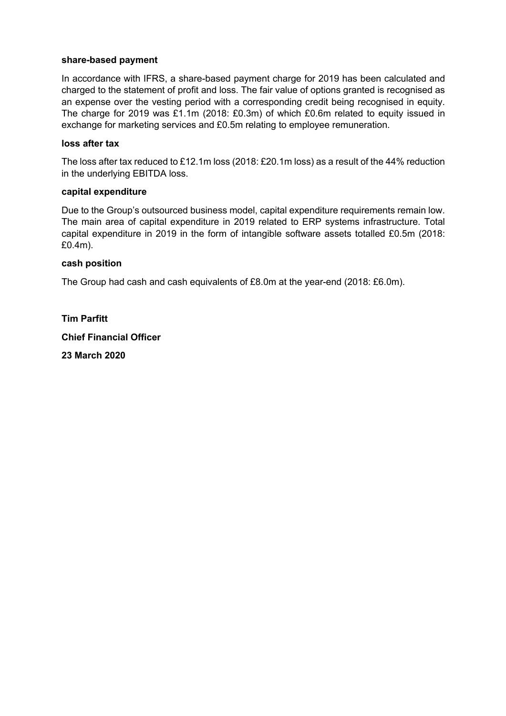#### **share-based payment**

In accordance with IFRS, a share-based payment charge for 2019 has been calculated and charged to the statement of profit and loss. The fair value of options granted is recognised as an expense over the vesting period with a corresponding credit being recognised in equity. The charge for 2019 was £1.1m (2018: £0.3m) of which £0.6m related to equity issued in exchange for marketing services and £0.5m relating to employee remuneration.

#### **loss after tax**

The loss after tax reduced to £12.1m loss (2018: £20.1m loss) as a result of the 44% reduction in the underlying EBITDA loss.

#### **capital expenditure**

Due to the Group's outsourced business model, capital expenditure requirements remain low. The main area of capital expenditure in 2019 related to ERP systems infrastructure. Total capital expenditure in 2019 in the form of intangible software assets totalled £0.5m (2018: £0.4m).

#### **cash position**

The Group had cash and cash equivalents of £8.0m at the year-end (2018: £6.0m).

**Tim Parfitt Chief Financial Officer 23 March 2020**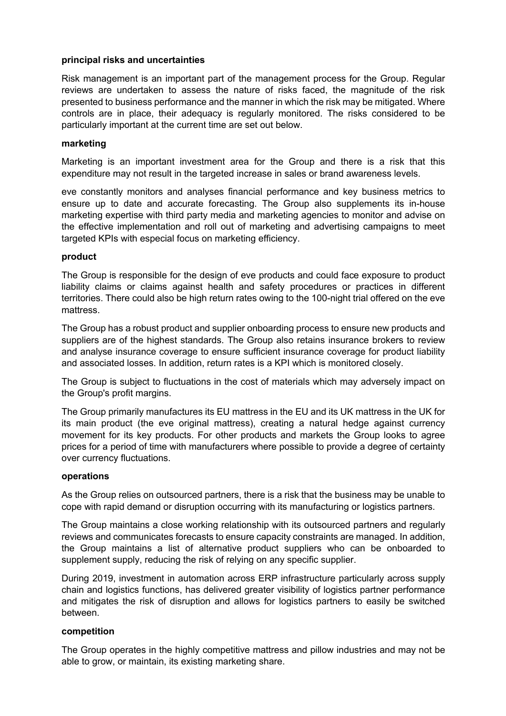#### **principal risks and uncertainties**

Risk management is an important part of the management process for the Group. Regular reviews are undertaken to assess the nature of risks faced, the magnitude of the risk presented to business performance and the manner in which the risk may be mitigated. Where controls are in place, their adequacy is regularly monitored. The risks considered to be particularly important at the current time are set out below.

#### **marketing**

Marketing is an important investment area for the Group and there is a risk that this expenditure may not result in the targeted increase in sales or brand awareness levels.

eve constantly monitors and analyses financial performance and key business metrics to ensure up to date and accurate forecasting. The Group also supplements its in-house marketing expertise with third party media and marketing agencies to monitor and advise on the effective implementation and roll out of marketing and advertising campaigns to meet targeted KPIs with especial focus on marketing efficiency.

#### **product**

The Group is responsible for the design of eve products and could face exposure to product liability claims or claims against health and safety procedures or practices in different territories. There could also be high return rates owing to the 100-night trial offered on the eve mattress.

The Group has a robust product and supplier onboarding process to ensure new products and suppliers are of the highest standards. The Group also retains insurance brokers to review and analyse insurance coverage to ensure sufficient insurance coverage for product liability and associated losses. In addition, return rates is a KPI which is monitored closely.

The Group is subject to fluctuations in the cost of materials which may adversely impact on the Group's profit margins.

The Group primarily manufactures its EU mattress in the EU and its UK mattress in the UK for its main product (the eve original mattress), creating a natural hedge against currency movement for its key products. For other products and markets the Group looks to agree prices for a period of time with manufacturers where possible to provide a degree of certainty over currency fluctuations.

#### **operations**

As the Group relies on outsourced partners, there is a risk that the business may be unable to cope with rapid demand or disruption occurring with its manufacturing or logistics partners.

The Group maintains a close working relationship with its outsourced partners and regularly reviews and communicates forecasts to ensure capacity constraints are managed. In addition, the Group maintains a list of alternative product suppliers who can be onboarded to supplement supply, reducing the risk of relying on any specific supplier.

During 2019, investment in automation across ERP infrastructure particularly across supply chain and logistics functions, has delivered greater visibility of logistics partner performance and mitigates the risk of disruption and allows for logistics partners to easily be switched between.

#### **competition**

The Group operates in the highly competitive mattress and pillow industries and may not be able to grow, or maintain, its existing marketing share.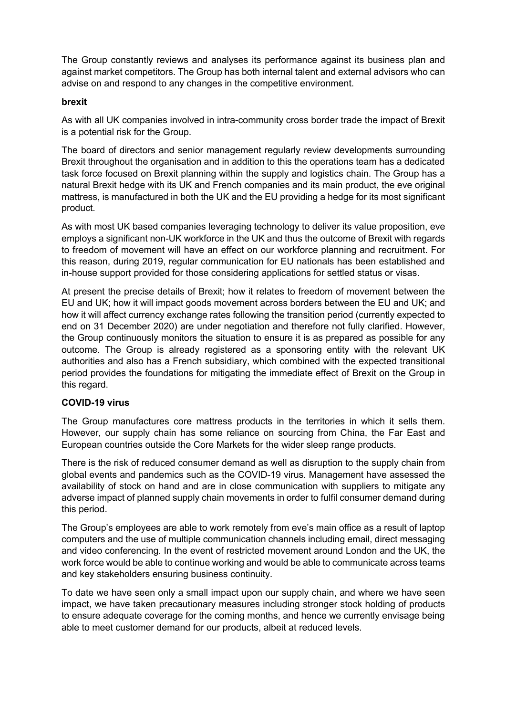The Group constantly reviews and analyses its performance against its business plan and against market competitors. The Group has both internal talent and external advisors who can advise on and respond to any changes in the competitive environment.

## **brexit**

As with all UK companies involved in intra-community cross border trade the impact of Brexit is a potential risk for the Group.

The board of directors and senior management regularly review developments surrounding Brexit throughout the organisation and in addition to this the operations team has a dedicated task force focused on Brexit planning within the supply and logistics chain. The Group has a natural Brexit hedge with its UK and French companies and its main product, the eve original mattress, is manufactured in both the UK and the EU providing a hedge for its most significant product.

As with most UK based companies leveraging technology to deliver its value proposition, eve employs a significant non-UK workforce in the UK and thus the outcome of Brexit with regards to freedom of movement will have an effect on our workforce planning and recruitment. For this reason, during 2019, regular communication for EU nationals has been established and in-house support provided for those considering applications for settled status or visas.

At present the precise details of Brexit; how it relates to freedom of movement between the EU and UK; how it will impact goods movement across borders between the EU and UK; and how it will affect currency exchange rates following the transition period (currently expected to end on 31 December 2020) are under negotiation and therefore not fully clarified. However, the Group continuously monitors the situation to ensure it is as prepared as possible for any outcome. The Group is already registered as a sponsoring entity with the relevant UK authorities and also has a French subsidiary, which combined with the expected transitional period provides the foundations for mitigating the immediate effect of Brexit on the Group in this regard.

## **COVID-19 virus**

The Group manufactures core mattress products in the territories in which it sells them. However, our supply chain has some reliance on sourcing from China, the Far East and European countries outside the Core Markets for the wider sleep range products.

There is the risk of reduced consumer demand as well as disruption to the supply chain from global events and pandemics such as the COVID-19 virus. Management have assessed the availability of stock on hand and are in close communication with suppliers to mitigate any adverse impact of planned supply chain movements in order to fulfil consumer demand during this period.

The Group's employees are able to work remotely from eve's main office as a result of laptop computers and the use of multiple communication channels including email, direct messaging and video conferencing. In the event of restricted movement around London and the UK, the work force would be able to continue working and would be able to communicate across teams and key stakeholders ensuring business continuity.

To date we have seen only a small impact upon our supply chain, and where we have seen impact, we have taken precautionary measures including stronger stock holding of products to ensure adequate coverage for the coming months, and hence we currently envisage being able to meet customer demand for our products, albeit at reduced levels.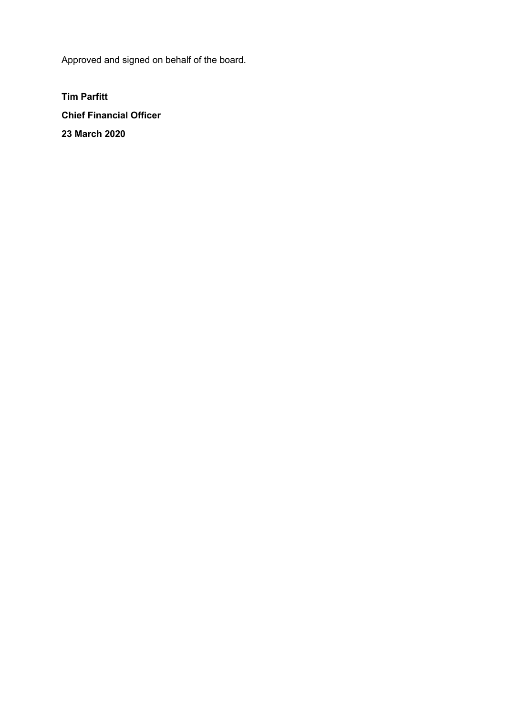Approved and signed on behalf of the board.

**Tim Parfitt Chief Financial Officer 23 March 2020**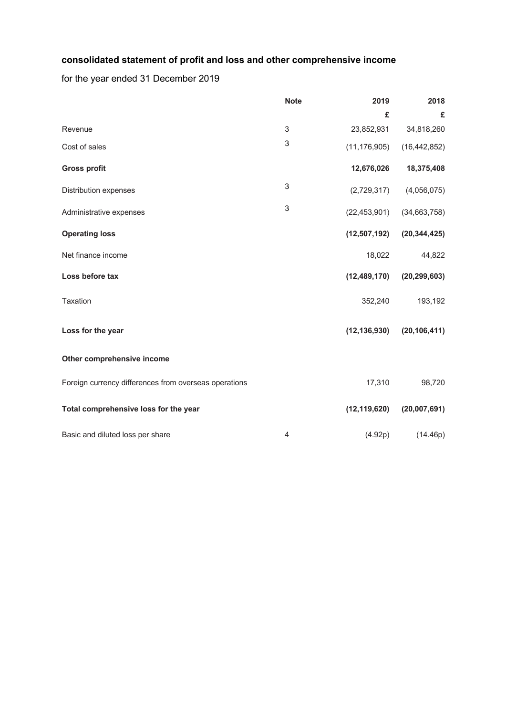## **consolidated statement of profit and loss and other comprehensive income**

for the year ended 31 December 2019

|                                                       | <b>Note</b>    | 2019           | 2018           |
|-------------------------------------------------------|----------------|----------------|----------------|
|                                                       |                | £              | £              |
| Revenue                                               | 3              | 23,852,931     | 34,818,260     |
| Cost of sales                                         | 3              | (11, 176, 905) | (16, 442, 852) |
| <b>Gross profit</b>                                   |                | 12,676,026     | 18,375,408     |
| Distribution expenses                                 | 3              | (2,729,317)    | (4,056,075)    |
| Administrative expenses                               | 3              | (22, 453, 901) | (34,663,758)   |
| <b>Operating loss</b>                                 |                | (12,507,192)   | (20, 344, 425) |
| Net finance income                                    |                | 18,022         | 44,822         |
| Loss before tax                                       |                | (12, 489, 170) | (20, 299, 603) |
| <b>Taxation</b>                                       |                | 352,240        | 193,192        |
| Loss for the year                                     |                | (12, 136, 930) | (20, 106, 411) |
| Other comprehensive income                            |                |                |                |
| Foreign currency differences from overseas operations |                | 17,310         | 98,720         |
| Total comprehensive loss for the year                 |                | (12, 119, 620) | (20,007,691)   |
| Basic and diluted loss per share                      | $\overline{4}$ | (4.92p)        | (14.46p)       |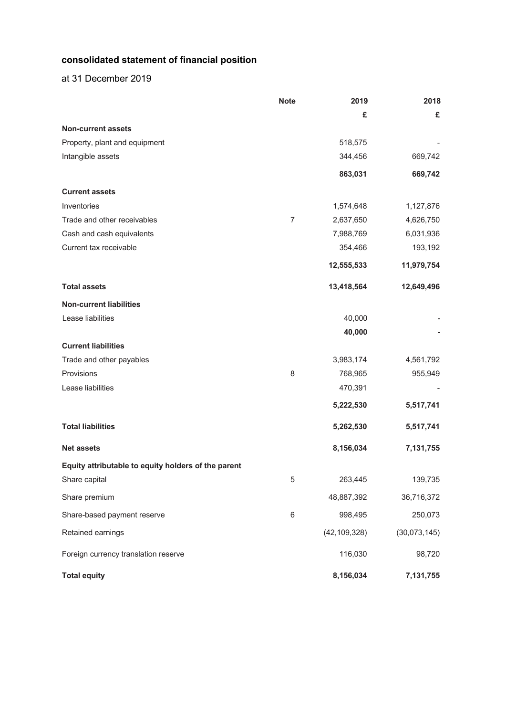## **consolidated statement of financial position**

at 31 December 2019

|                                                     | <b>Note</b>    | 2019           | 2018         |
|-----------------------------------------------------|----------------|----------------|--------------|
|                                                     |                | £              | £            |
| <b>Non-current assets</b>                           |                |                |              |
| Property, plant and equipment                       |                | 518,575        |              |
| Intangible assets                                   |                | 344,456        | 669,742      |
|                                                     |                | 863,031        | 669,742      |
| <b>Current assets</b>                               |                |                |              |
| Inventories                                         |                | 1,574,648      | 1,127,876    |
| Trade and other receivables                         | $\overline{7}$ | 2,637,650      | 4,626,750    |
| Cash and cash equivalents                           |                | 7,988,769      | 6,031,936    |
| Current tax receivable                              |                | 354,466        | 193,192      |
|                                                     |                | 12,555,533     | 11,979,754   |
| <b>Total assets</b>                                 |                | 13,418,564     | 12,649,496   |
| <b>Non-current liabilities</b>                      |                |                |              |
| Lease liabilities                                   |                | 40,000         |              |
|                                                     |                | 40,000         |              |
| <b>Current liabilities</b>                          |                |                |              |
| Trade and other payables                            |                | 3,983,174      | 4,561,792    |
| Provisions                                          | 8              | 768,965        | 955,949      |
| Lease liabilities                                   |                | 470,391        |              |
|                                                     |                | 5,222,530      | 5,517,741    |
| <b>Total liabilities</b>                            |                | 5,262,530      | 5,517,741    |
| <b>Net assets</b>                                   |                | 8,156,034      | 7,131,755    |
| Equity attributable to equity holders of the parent |                |                |              |
| Share capital                                       | 5              | 263,445        | 139,735      |
| Share premium                                       |                | 48,887,392     | 36,716,372   |
| Share-based payment reserve                         | 6              | 998,495        | 250,073      |
| Retained earnings                                   |                | (42, 109, 328) | (30,073,145) |
| Foreign currency translation reserve                |                | 116,030        | 98,720       |
| <b>Total equity</b>                                 |                | 8,156,034      | 7,131,755    |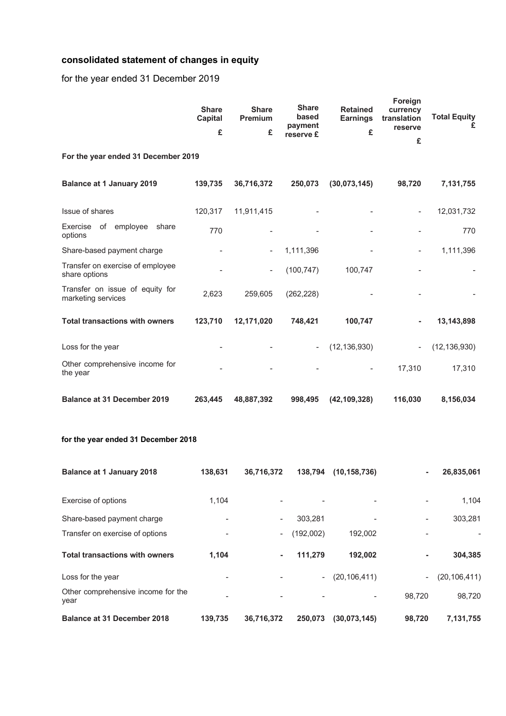# **consolidated statement of changes in equity**

for the year ended 31 December 2019

|                                                       | <b>Share</b><br><b>Capital</b><br>£ | <b>Share</b><br><b>Premium</b><br>£ | <b>Share</b><br>based<br>payment<br>reserve £ | <b>Retained</b><br><b>Earnings</b><br>£ | Foreign<br>currency<br>translation<br>reserve<br>£ | <b>Total Equity</b><br>£ |
|-------------------------------------------------------|-------------------------------------|-------------------------------------|-----------------------------------------------|-----------------------------------------|----------------------------------------------------|--------------------------|
| For the year ended 31 December 2019                   |                                     |                                     |                                               |                                         |                                                    |                          |
| <b>Balance at 1 January 2019</b>                      | 139,735                             | 36,716,372                          | 250,073                                       | (30,073,145)                            | 98,720                                             | 7,131,755                |
| Issue of shares                                       | 120,317                             | 11,911,415                          |                                               |                                         | $\overline{\phantom{a}}$                           | 12,031,732               |
| Exercise of employee<br>share<br>options              | 770                                 |                                     |                                               |                                         |                                                    | 770                      |
| Share-based payment charge                            |                                     |                                     | 1,111,396                                     |                                         | $\overline{\phantom{a}}$                           | 1,111,396                |
| Transfer on exercise of employee<br>share options     |                                     | $\overline{\phantom{a}}$            | (100, 747)                                    | 100,747                                 |                                                    |                          |
| Transfer on issue of equity for<br>marketing services | 2,623                               | 259,605                             | (262, 228)                                    |                                         |                                                    |                          |
| <b>Total transactions with owners</b>                 | 123,710                             | 12,171,020                          | 748,421                                       | 100,747                                 |                                                    | 13,143,898               |
| Loss for the year                                     |                                     |                                     |                                               | (12, 136, 930)                          | $\overline{\phantom{a}}$                           | (12, 136, 930)           |
| Other comprehensive income for<br>the year            |                                     |                                     |                                               |                                         | 17,310                                             | 17,310                   |
| <b>Balance at 31 December 2019</b>                    | 263,445                             | 48,887,392                          | 998,495                                       | (42, 109, 328)                          | 116,030                                            | 8,156,034                |

## **for the year ended 31 December 2018**

| <b>Balance at 1 January 2018</b>           | 138.631        | 36,716,372               | 138.794                  | (10, 158, 736) | ٠      | 26,835,061     |
|--------------------------------------------|----------------|--------------------------|--------------------------|----------------|--------|----------------|
| Exercise of options                        | 1.104          |                          | ٠                        |                |        | 1,104          |
| Share-based payment charge                 |                | -                        | 303.281                  |                |        | 303.281        |
| Transfer on exercise of options            |                | $\overline{\phantom{0}}$ | (192,002)                | 192,002        |        |                |
| <b>Total transactions with owners</b>      | 1.104          | ٠                        | 111.279                  | 192,002        |        | 304,385        |
| Loss for the year                          |                |                          | $\overline{\phantom{a}}$ | (20, 106, 411) | -      | (20, 106, 411) |
| Other comprehensive income for the<br>year | $\blacksquare$ | ۰                        | $\overline{\phantom{a}}$ |                | 98.720 | 98.720         |
| <b>Balance at 31 December 2018</b>         | 139.735        | 36,716,372               | 250.073                  | (30,073,145)   | 98.720 | 7,131,755      |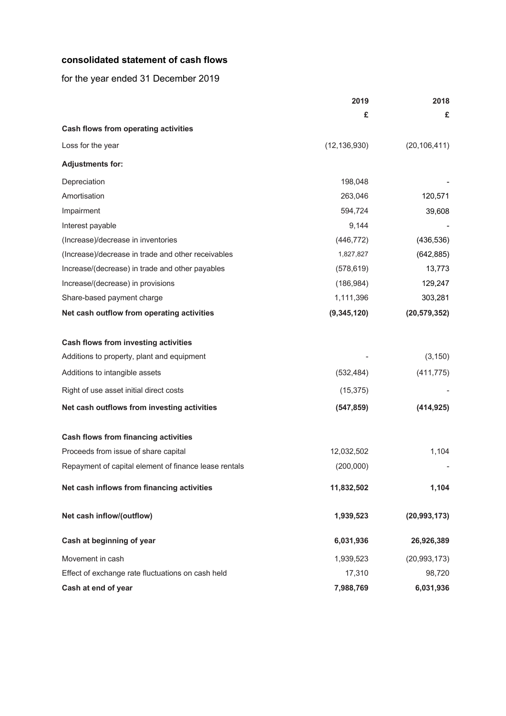#### **consolidated statement of cash flows**

for the year ended 31 December 2019

|                                                       | 2019           | 2018           |
|-------------------------------------------------------|----------------|----------------|
|                                                       | £              | £              |
| Cash flows from operating activities                  |                |                |
| Loss for the year                                     | (12, 136, 930) | (20, 106, 411) |
| <b>Adjustments for:</b>                               |                |                |
| Depreciation                                          | 198,048        |                |
| Amortisation                                          | 263,046        | 120,571        |
| Impairment                                            | 594,724        | 39,608         |
| Interest payable                                      | 9,144          |                |
| (Increase)/decrease in inventories                    | (446, 772)     | (436, 536)     |
| (Increase)/decrease in trade and other receivables    | 1,827,827      | (642, 885)     |
| Increase/(decrease) in trade and other payables       | (578, 619)     | 13,773         |
| Increase/(decrease) in provisions                     | (186, 984)     | 129,247        |
| Share-based payment charge                            | 1,111,396      | 303,281        |
| Net cash outflow from operating activities            | (9, 345, 120)  | (20, 579, 352) |
| <b>Cash flows from investing activities</b>           |                |                |
| Additions to property, plant and equipment            |                | (3, 150)       |
| Additions to intangible assets                        | (532, 484)     | (411, 775)     |
| Right of use asset initial direct costs               | (15, 375)      |                |
| Net cash outflows from investing activities           | (547, 859)     | (414, 925)     |
| <b>Cash flows from financing activities</b>           |                |                |
| Proceeds from issue of share capital                  | 12,032,502     | 1,104          |
| Repayment of capital element of finance lease rentals | (200,000)      |                |
| Net cash inflows from financing activities            | 11,832,502     | 1,104          |
| Net cash inflow/(outflow)                             | 1,939,523      | (20, 993, 173) |
| Cash at beginning of year                             | 6,031,936      | 26,926,389     |
| Movement in cash                                      | 1,939,523      | (20, 993, 173) |
| Effect of exchange rate fluctuations on cash held     | 17,310         | 98,720         |
| Cash at end of year                                   | 7,988,769      | 6,031,936      |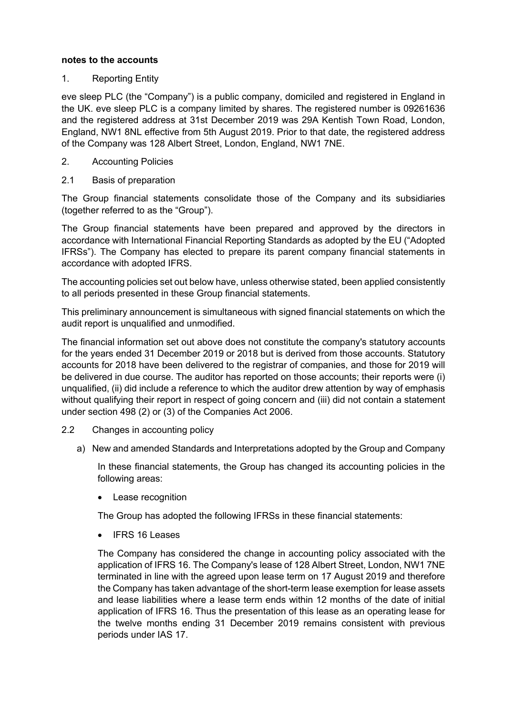#### **notes to the accounts**

#### 1. Reporting Entity

eve sleep PLC (the "Company") is a public company, domiciled and registered in England in the UK. eve sleep PLC is a company limited by shares. The registered number is 09261636 and the registered address at 31st December 2019 was 29A Kentish Town Road, London, England, NW1 8NL effective from 5th August 2019. Prior to that date, the registered address of the Company was 128 Albert Street, London, England, NW1 7NE.

#### 2. Accounting Policies

2.1 Basis of preparation

The Group financial statements consolidate those of the Company and its subsidiaries (together referred to as the "Group").

The Group financial statements have been prepared and approved by the directors in accordance with International Financial Reporting Standards as adopted by the EU ("Adopted IFRSs"). The Company has elected to prepare its parent company financial statements in accordance with adopted IFRS.

The accounting policies set out below have, unless otherwise stated, been applied consistently to all periods presented in these Group financial statements.

This preliminary announcement is simultaneous with signed financial statements on which the audit report is unqualified and unmodified.

The financial information set out above does not constitute the company's statutory accounts for the years ended 31 December 2019 or 2018 but is derived from those accounts. Statutory accounts for 2018 have been delivered to the registrar of companies, and those for 2019 will be delivered in due course. The auditor has reported on those accounts; their reports were (i) unqualified, (ii) did include a reference to which the auditor drew attention by way of emphasis without qualifying their report in respect of going concern and (iii) did not contain a statement under section 498 (2) or (3) of the Companies Act 2006.

- 2.2 Changes in accounting policy
	- a) New and amended Standards and Interpretations adopted by the Group and Company

In these financial statements, the Group has changed its accounting policies in the following areas:

Lease recognition

The Group has adopted the following IFRSs in these financial statements:

**IFRS 16 Leases** 

The Company has considered the change in accounting policy associated with the application of IFRS 16. The Company's lease of 128 Albert Street, London, NW1 7NE terminated in line with the agreed upon lease term on 17 August 2019 and therefore the Company has taken advantage of the short-term lease exemption for lease assets and lease liabilities where a lease term ends within 12 months of the date of initial application of IFRS 16. Thus the presentation of this lease as an operating lease for the twelve months ending 31 December 2019 remains consistent with previous periods under IAS 17.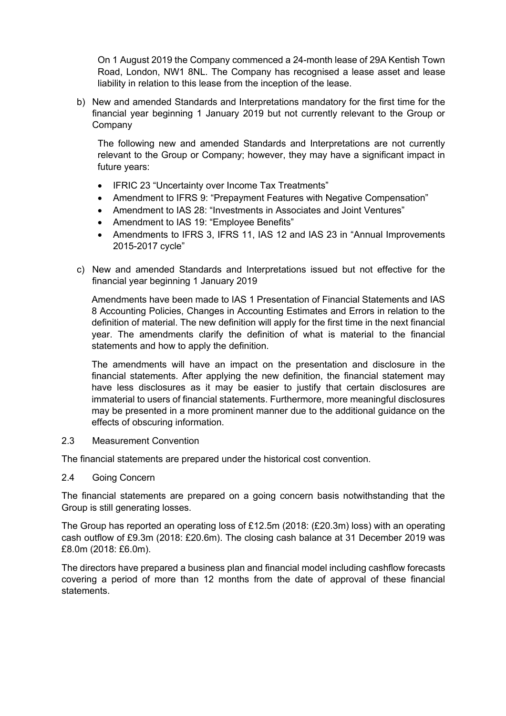On 1 August 2019 the Company commenced a 24-month lease of 29A Kentish Town Road, London, NW1 8NL. The Company has recognised a lease asset and lease liability in relation to this lease from the inception of the lease.

b) New and amended Standards and Interpretations mandatory for the first time for the financial year beginning 1 January 2019 but not currently relevant to the Group or **Company** 

The following new and amended Standards and Interpretations are not currently relevant to the Group or Company; however, they may have a significant impact in future years:

- IFRIC 23 "Uncertainty over Income Tax Treatments"
- Amendment to IFRS 9: "Prepayment Features with Negative Compensation"
- Amendment to IAS 28: "Investments in Associates and Joint Ventures"
- Amendment to IAS 19: "Employee Benefits"
- Amendments to IFRS 3, IFRS 11, IAS 12 and IAS 23 in "Annual Improvements 2015-2017 cycle"
- c) New and amended Standards and Interpretations issued but not effective for the financial year beginning 1 January 2019

Amendments have been made to IAS 1 Presentation of Financial Statements and IAS 8 Accounting Policies, Changes in Accounting Estimates and Errors in relation to the definition of material. The new definition will apply for the first time in the next financial year. The amendments clarify the definition of what is material to the financial statements and how to apply the definition.

The amendments will have an impact on the presentation and disclosure in the financial statements. After applying the new definition, the financial statement may have less disclosures as it may be easier to justify that certain disclosures are immaterial to users of financial statements. Furthermore, more meaningful disclosures may be presented in a more prominent manner due to the additional guidance on the effects of obscuring information.

## 2.3 Measurement Convention

The financial statements are prepared under the historical cost convention.

#### 2.4 Going Concern

The financial statements are prepared on a going concern basis notwithstanding that the Group is still generating losses.

The Group has reported an operating loss of £12.5m (2018: (£20.3m) loss) with an operating cash outflow of £9.3m (2018: £20.6m). The closing cash balance at 31 December 2019 was £8.0m (2018: £6.0m).

The directors have prepared a business plan and financial model including cashflow forecasts covering a period of more than 12 months from the date of approval of these financial statements.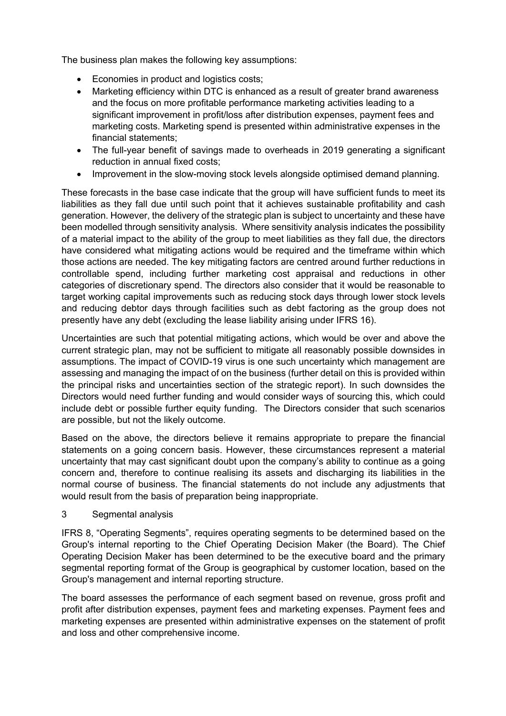The business plan makes the following key assumptions:

- Economies in product and logistics costs;
- Marketing efficiency within DTC is enhanced as a result of greater brand awareness and the focus on more profitable performance marketing activities leading to a significant improvement in profit/loss after distribution expenses, payment fees and marketing costs. Marketing spend is presented within administrative expenses in the financial statements;
- The full-year benefit of savings made to overheads in 2019 generating a significant reduction in annual fixed costs;
- Improvement in the slow-moving stock levels alongside optimised demand planning.

These forecasts in the base case indicate that the group will have sufficient funds to meet its liabilities as they fall due until such point that it achieves sustainable profitability and cash generation. However, the delivery of the strategic plan is subject to uncertainty and these have been modelled through sensitivity analysis. Where sensitivity analysis indicates the possibility of a material impact to the ability of the group to meet liabilities as they fall due, the directors have considered what mitigating actions would be required and the timeframe within which those actions are needed. The key mitigating factors are centred around further reductions in controllable spend, including further marketing cost appraisal and reductions in other categories of discretionary spend. The directors also consider that it would be reasonable to target working capital improvements such as reducing stock days through lower stock levels and reducing debtor days through facilities such as debt factoring as the group does not presently have any debt (excluding the lease liability arising under IFRS 16).

Uncertainties are such that potential mitigating actions, which would be over and above the current strategic plan, may not be sufficient to mitigate all reasonably possible downsides in assumptions. The impact of COVID-19 virus is one such uncertainty which management are assessing and managing the impact of on the business (further detail on this is provided within the principal risks and uncertainties section of the strategic report). In such downsides the Directors would need further funding and would consider ways of sourcing this, which could include debt or possible further equity funding. The Directors consider that such scenarios are possible, but not the likely outcome.

Based on the above, the directors believe it remains appropriate to prepare the financial statements on a going concern basis. However, these circumstances represent a material uncertainty that may cast significant doubt upon the company's ability to continue as a going concern and, therefore to continue realising its assets and discharging its liabilities in the normal course of business. The financial statements do not include any adjustments that would result from the basis of preparation being inappropriate.

## 3 Segmental analysis

IFRS 8, "Operating Segments", requires operating segments to be determined based on the Group's internal reporting to the Chief Operating Decision Maker (the Board). The Chief Operating Decision Maker has been determined to be the executive board and the primary segmental reporting format of the Group is geographical by customer location, based on the Group's management and internal reporting structure.

The board assesses the performance of each segment based on revenue, gross profit and profit after distribution expenses, payment fees and marketing expenses. Payment fees and marketing expenses are presented within administrative expenses on the statement of profit and loss and other comprehensive income.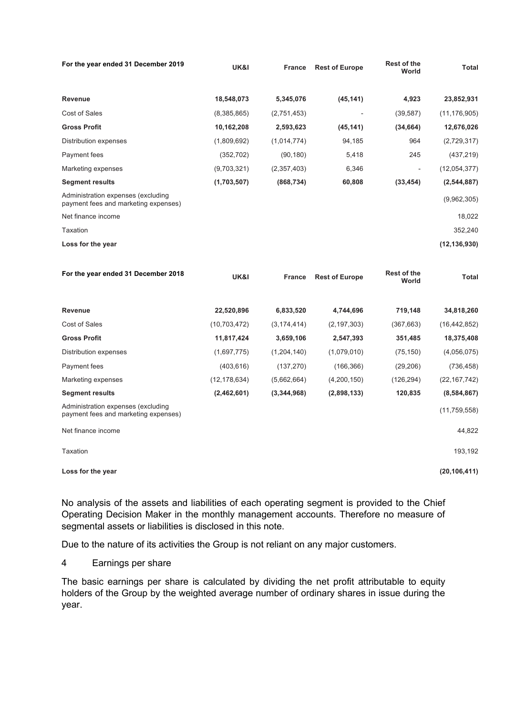| For the year ended 31 December 2019                                        | <b>UK&amp;I</b> | <b>France</b> | <b>Rest of Europe</b> | <b>Rest of the</b><br>World | Total          |
|----------------------------------------------------------------------------|-----------------|---------------|-----------------------|-----------------------------|----------------|
| <b>Revenue</b>                                                             | 18,548,073      | 5,345,076     | (45, 141)             | 4,923                       | 23,852,931     |
| Cost of Sales                                                              | (8,385,865)     | (2,751,453)   |                       | (39, 587)                   | (11, 176, 905) |
| <b>Gross Profit</b>                                                        | 10,162,208      | 2,593,623     | (45, 141)             | (34, 664)                   | 12,676,026     |
| Distribution expenses                                                      | (1,809,692)     | (1,014,774)   | 94,185                | 964                         | (2,729,317)    |
| Payment fees                                                               | (352, 702)      | (90, 180)     | 5,418                 | 245                         | (437, 219)     |
| Marketing expenses                                                         | (9,703,321)     | (2,357,403)   | 6,346                 | Ξ.                          | (12,054,377)   |
| <b>Segment results</b>                                                     | (1,703,507)     | (868, 734)    | 60,808                | (33, 454)                   | (2, 544, 887)  |
| Administration expenses (excluding<br>payment fees and marketing expenses) |                 |               |                       |                             | (9,962,305)    |
| Net finance income                                                         |                 |               |                       |                             | 18,022         |
| Taxation                                                                   |                 |               |                       |                             | 352,240        |
| Loss for the year                                                          |                 |               |                       |                             | (12, 136, 930) |

| For the year ended 31 December 2018                                        | <b>UK&amp;I</b> | <b>France</b> | <b>Rest of Europe</b> | <b>Rest of the</b><br>World | Total          |
|----------------------------------------------------------------------------|-----------------|---------------|-----------------------|-----------------------------|----------------|
| <b>Revenue</b>                                                             | 22,520,896      | 6,833,520     | 4,744,696             | 719,148                     | 34,818,260     |
| Cost of Sales                                                              | (10, 703, 472)  | (3, 174, 414) | (2, 197, 303)         | (367, 663)                  | (16, 442, 852) |
| <b>Gross Profit</b>                                                        | 11,817,424      | 3,659,106     | 2,547,393             | 351,485                     | 18,375,408     |
| Distribution expenses                                                      | (1,697,775)     | (1,204,140)   | (1,079,010)           | (75, 150)                   | (4,056,075)    |
| Payment fees                                                               | (403, 616)      | (137, 270)    | (166, 366)            | (29, 206)                   | (736, 458)     |
| Marketing expenses                                                         | (12, 178, 634)  | (5,662,664)   | (4,200,150)           | (126, 294)                  | (22, 167, 742) |
| <b>Segment results</b>                                                     | (2,462,601)     | (3,344,968)   | (2,898,133)           | 120,835                     | (8,584,867)    |
| Administration expenses (excluding<br>payment fees and marketing expenses) |                 |               |                       |                             | (11, 759, 558) |
| Net finance income                                                         |                 |               |                       |                             | 44,822         |
| Taxation                                                                   |                 |               |                       |                             | 193,192        |
| Loss for the year                                                          |                 |               |                       |                             | (20, 106, 411) |

No analysis of the assets and liabilities of each operating segment is provided to the Chief Operating Decision Maker in the monthly management accounts. Therefore no measure of segmental assets or liabilities is disclosed in this note.

Due to the nature of its activities the Group is not reliant on any major customers.

4 Earnings per share

The basic earnings per share is calculated by dividing the net profit attributable to equity holders of the Group by the weighted average number of ordinary shares in issue during the year.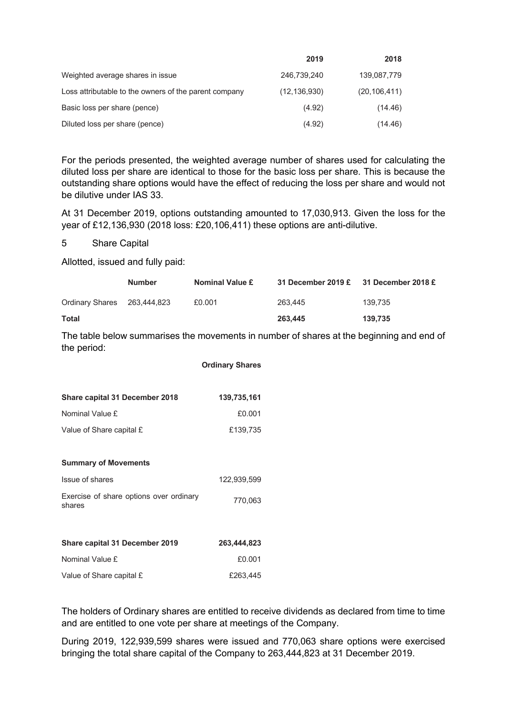|                                                       | 2019           | 2018           |
|-------------------------------------------------------|----------------|----------------|
| Weighted average shares in issue                      | 246.739.240    | 139,087,779    |
| Loss attributable to the owners of the parent company | (12, 136, 930) | (20, 106, 411) |
| Basic loss per share (pence)                          | (4.92)         | (14.46)        |
| Diluted loss per share (pence)                        | (4.92)         | (14.46)        |

For the periods presented, the weighted average number of shares used for calculating the diluted loss per share are identical to those for the basic loss per share. This is because the outstanding share options would have the effect of reducing the loss per share and would not be dilutive under IAS 33.

At 31 December 2019, options outstanding amounted to 17,030,913. Given the loss for the year of £12,136,930 (2018 loss: £20,106,411) these options are anti-dilutive.

#### 5 Share Capital

Allotted, issued and fully paid:

|                             | <b>Number</b> | <b>Nominal Value £</b> | 31 December 2019 $\epsilon$ 31 December 2018 $\epsilon$ |         |
|-----------------------------|---------------|------------------------|---------------------------------------------------------|---------|
| Ordinary Shares 263,444,823 |               | £0.001                 | 263.445                                                 | 139.735 |
| Total                       |               |                        | 263,445                                                 | 139.735 |

The table below summarises the movements in number of shares at the beginning and end of the period:

|                                                   | <b>Ordinary Shares</b> |
|---------------------------------------------------|------------------------|
|                                                   |                        |
| <b>Share capital 31 December 2018</b>             | 139,735,161            |
| Nominal Value £                                   | £0.001                 |
| Value of Share capital £                          | £139,735               |
|                                                   |                        |
| <b>Summary of Movements</b>                       |                        |
| Issue of shares                                   | 122,939,599            |
| Exercise of share options over ordinary<br>shares | 770,063                |
|                                                   |                        |
| <b>Share capital 31 December 2019</b>             | 263,444,823            |
| Nominal Value £                                   | £0.001                 |

Value of Share capital £ **263,445** 

The holders of Ordinary shares are entitled to receive dividends as declared from time to time and are entitled to one vote per share at meetings of the Company.

During 2019, 122,939,599 shares were issued and 770,063 share options were exercised bringing the total share capital of the Company to 263,444,823 at 31 December 2019.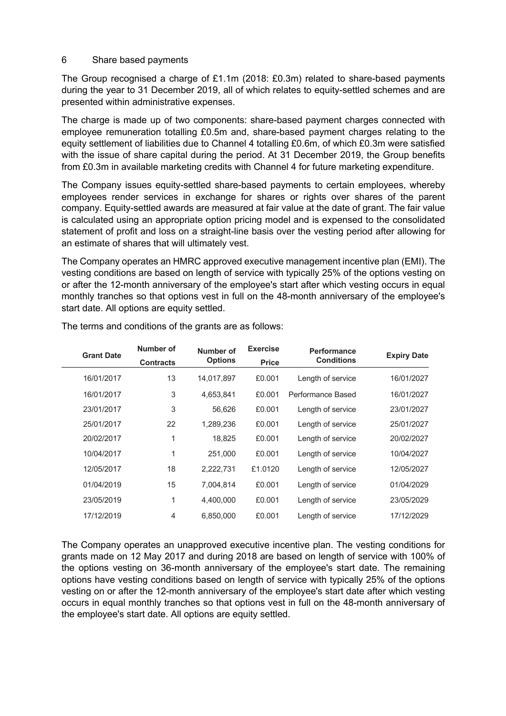#### 6 Share based payments

The Group recognised a charge of £1.1m (2018: £0.3m) related to share-based payments during the year to 31 December 2019, all of which relates to equity-settled schemes and are presented within administrative expenses.

The charge is made up of two components: share-based payment charges connected with employee remuneration totalling £0.5m and, share-based payment charges relating to the equity settlement of liabilities due to Channel 4 totalling £0.6m, of which £0.3m were satisfied with the issue of share capital during the period. At 31 December 2019, the Group benefits from £0.3m in available marketing credits with Channel 4 for future marketing expenditure.

The Company issues equity-settled share-based payments to certain employees, whereby employees render services in exchange for shares or rights over shares of the parent company. Equity-settled awards are measured at fair value at the date of grant. The fair value is calculated using an appropriate option pricing model and is expensed to the consolidated statement of profit and loss on a straight-line basis over the vesting period after allowing for an estimate of shares that will ultimately vest.

The Company operates an HMRC approved executive management incentive plan (EMI). The vesting conditions are based on length of service with typically 25% of the options vesting on or after the 12-month anniversary of the employee's start after which vesting occurs in equal monthly tranches so that options vest in full on the 48-month anniversary of the employee's start date. All options are equity settled.

| <b>Expiry Date</b> | <b>Performance</b> | <b>Exercise</b> | Number of      | Number of        | <b>Grant Date</b> |
|--------------------|--------------------|-----------------|----------------|------------------|-------------------|
|                    | <b>Conditions</b>  | <b>Price</b>    | <b>Options</b> | <b>Contracts</b> |                   |
| 16/01/2027         | Length of service  | £0.001          | 14,017,897     | 13               | 16/01/2017        |
| 16/01/2027         | Performance Based  | £0.001          | 4,653,841      | 3                | 16/01/2017        |
| 23/01/2027         | Length of service  | £0.001          | 56.626         | 3                | 23/01/2017        |
| 25/01/2027         | Length of service  | £0.001          | 1,289,236      | 22               | 25/01/2017        |
| 20/02/2027         | Length of service  | £0.001          | 18.825         | 1                | 20/02/2017        |
| 10/04/2027         | Length of service  | £0.001          | 251,000        | 1                | 10/04/2017        |
| 12/05/2027         | Length of service  | £1.0120         | 2,222,731      | 18               | 12/05/2017        |
| 01/04/2029         | Length of service  | £0.001          | 7,004,814      | 15               | 01/04/2019        |
| 23/05/2029         | Length of service  | £0.001          | 4,400,000      | 1                | 23/05/2019        |
| 17/12/2029         | Length of service  | £0.001          | 6,850,000      | $\overline{4}$   | 17/12/2019        |
|                    |                    |                 |                |                  |                   |

The terms and conditions of the grants are as follows:

The Company operates an unapproved executive incentive plan. The vesting conditions for grants made on 12 May 2017 and during 2018 are based on length of service with 100% of the options vesting on 36-month anniversary of the employee's start date. The remaining options have vesting conditions based on length of service with typically 25% of the options vesting on or after the 12-month anniversary of the employee's start date after which vesting occurs in equal monthly tranches so that options vest in full on the 48-month anniversary of the employee's start date. All options are equity settled.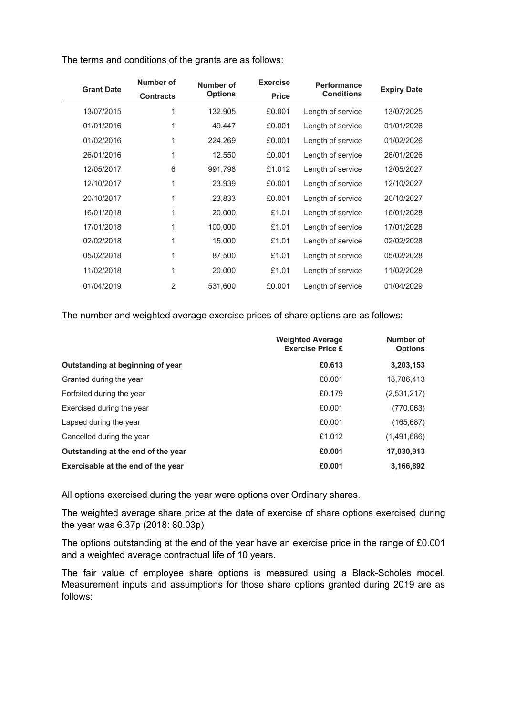|                    | Performance       | <b>Exercise</b> | Number of      | Number of        | <b>Grant Date</b> |
|--------------------|-------------------|-----------------|----------------|------------------|-------------------|
| <b>Expiry Date</b> | <b>Conditions</b> | <b>Price</b>    | <b>Options</b> | <b>Contracts</b> |                   |
| 13/07/2025         | Length of service | £0.001          | 132,905        | 1                | 13/07/2015        |
| 01/01/2026         | Length of service | £0.001          | 49,447         | 1                | 01/01/2016        |
| 01/02/2026         | Length of service | £0.001          | 224,269        | 1                | 01/02/2016        |
| 26/01/2026         | Length of service | £0.001          | 12,550         | 1                | 26/01/2016        |
| 12/05/2027         | Length of service | £1.012          | 991,798        | 6                | 12/05/2017        |
| 12/10/2027         | Length of service | £0.001          | 23,939         | 1                | 12/10/2017        |
| 20/10/2027         | Length of service | £0.001          | 23,833         | 1                | 20/10/2017        |
| 16/01/2028         | Length of service | £1.01           | 20,000         | 1                | 16/01/2018        |
| 17/01/2028         | Length of service | £1.01           | 100,000        | 1                | 17/01/2018        |
| 02/02/2028         | Length of service | £1.01           | 15,000         | 1                | 02/02/2018        |
| 05/02/2028         | Length of service | £1.01           | 87,500         | 1                | 05/02/2018        |
| 11/02/2028         | Length of service | £1.01           | 20,000         | 1                | 11/02/2018        |
| 01/04/2029         | Length of service | £0.001          | 531,600        | 2                | 01/04/2019        |
|                    |                   |                 |                |                  |                   |

The terms and conditions of the grants are as follows:

The number and weighted average exercise prices of share options are as follows:

|                                    | <b>Weighted Average</b><br><b>Exercise Price £</b> | Number of<br><b>Options</b> |
|------------------------------------|----------------------------------------------------|-----------------------------|
| Outstanding at beginning of year   | £0.613                                             | 3,203,153                   |
| Granted during the year            | £0.001                                             | 18.786.413                  |
| Forfeited during the year          | £0.179                                             | (2,531,217)                 |
| Exercised during the year          | £0.001                                             | (770,063)                   |
| Lapsed during the year             | £0.001                                             | (165, 687)                  |
| Cancelled during the year          | £1.012                                             | (1,491,686)                 |
| Outstanding at the end of the year | £0.001                                             | 17,030,913                  |
| Exercisable at the end of the year | £0.001                                             | 3,166,892                   |

All options exercised during the year were options over Ordinary shares.

The weighted average share price at the date of exercise of share options exercised during the year was 6.37p (2018: 80.03p)

The options outstanding at the end of the year have an exercise price in the range of £0.001 and a weighted average contractual life of 10 years.

The fair value of employee share options is measured using a Black-Scholes model. Measurement inputs and assumptions for those share options granted during 2019 are as follows: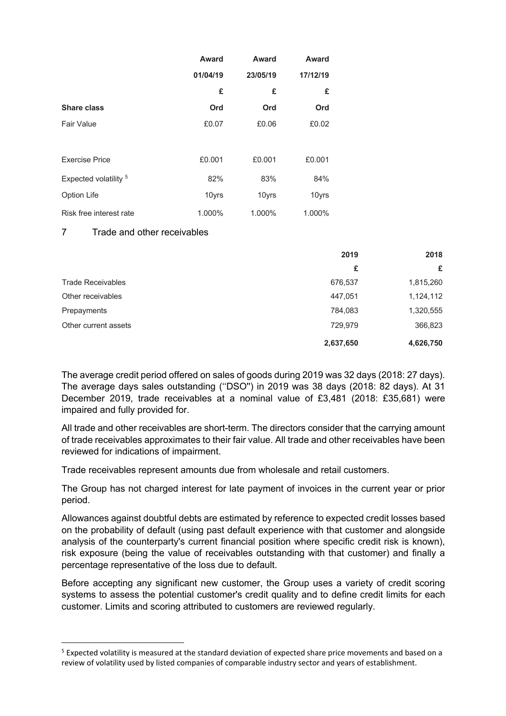|                                  | Award    | Award    | <b>Award</b> |
|----------------------------------|----------|----------|--------------|
|                                  | 01/04/19 | 23/05/19 | 17/12/19     |
|                                  | £        | £        | £            |
| <b>Share class</b>               | Ord      | Ord      | Ord          |
| Fair Value                       | £0.07    | £0.06    | £0.02        |
|                                  |          |          |              |
| <b>Exercise Price</b>            | £0.001   | £0.001   | £0.001       |
| Expected volatility <sup>5</sup> | 82%      | 83%      | 84%          |
| Option Life                      | 10yrs    | 10yrs    | 10yrs        |
| Risk free interest rate          | 1.000%   | 1.000%   | 1.000%       |

#### 7 Trade and other receivables

|                          | 2019      | 2018      |
|--------------------------|-----------|-----------|
|                          | £         | £         |
| <b>Trade Receivables</b> | 676,537   | 1,815,260 |
| Other receivables        | 447.051   | 1,124,112 |
| Prepayments              | 784,083   | 1,320,555 |
| Other current assets     | 729,979   | 366,823   |
|                          | 2,637,650 | 4,626,750 |

The average credit period offered on sales of goods during 2019 was 32 days (2018: 27 days). The average days sales outstanding (''DSO'') in 2019 was 38 days (2018: 82 days). At 31 December 2019, trade receivables at a nominal value of £3,481 (2018: £35,681) were impaired and fully provided for.

All trade and other receivables are short-term. The directors consider that the carrying amount of trade receivables approximates to their fair value. All trade and other receivables have been reviewed for indications of impairment.

Trade receivables represent amounts due from wholesale and retail customers.

The Group has not charged interest for late payment of invoices in the current year or prior period.

Allowances against doubtful debts are estimated by reference to expected credit losses based on the probability of default (using past default experience with that customer and alongside analysis of the counterparty's current financial position where specific credit risk is known), risk exposure (being the value of receivables outstanding with that customer) and finally a percentage representative of the loss due to default.

Before accepting any significant new customer, the Group uses a variety of credit scoring systems to assess the potential customer's credit quality and to define credit limits for each customer. Limits and scoring attributed to customers are reviewed regularly.

<sup>&</sup>lt;sup>5</sup> Expected volatility is measured at the standard deviation of expected share price movements and based on a review of volatility used by listed companies of comparable industry sector and years of establishment.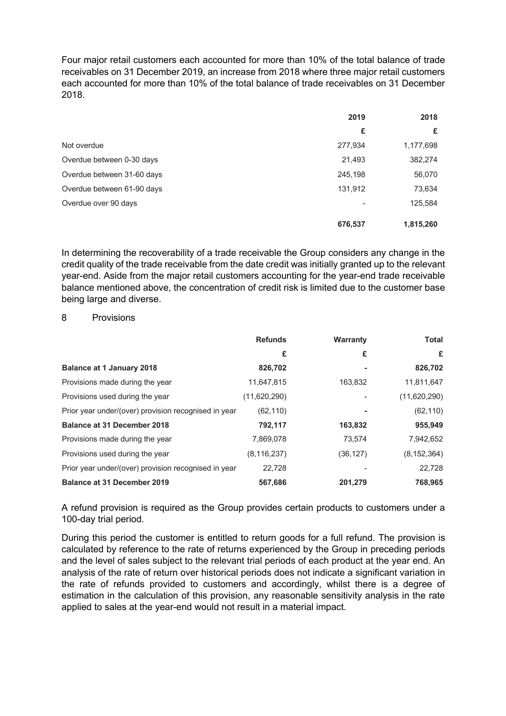Four major retail customers each accounted for more than 10% of the total balance of trade receivables on 31 December 2019, an increase from 2018 where three major retail customers each accounted for more than 10% of the total balance of trade receivables on 31 December 2018.

|                            | 2019    | 2018      |
|----------------------------|---------|-----------|
|                            | £       | £         |
| Not overdue                | 277,934 | 1,177,698 |
| Overdue between 0-30 days  | 21,493  | 382,274   |
| Overdue between 31-60 days | 245,198 | 56,070    |
| Overdue between 61-90 days | 131,912 | 73,634    |
| Overdue over 90 days       |         | 125,584   |
|                            | 676,537 | 1,815,260 |

In determining the recoverability of a trade receivable the Group considers any change in the credit quality of the trade receivable from the date credit was initially granted up to the relevant year-end. Aside from the major retail customers accounting for the year-end trade receivable balance mentioned above, the concentration of credit risk is limited due to the customer base being large and diverse.

#### 8 Provisions

|                                                      | <b>Refunds</b> | Warranty  | <b>Total</b>  |
|------------------------------------------------------|----------------|-----------|---------------|
|                                                      | £              | £         | £             |
| <b>Balance at 1 January 2018</b>                     | 826,702        |           | 826,702       |
| Provisions made during the year                      | 11,647,815     | 163,832   | 11,811,647    |
| Provisions used during the year                      | (11,620,290)   |           | (11,620,290)  |
| Prior year under/(over) provision recognised in year | (62, 110)      |           | (62, 110)     |
| <b>Balance at 31 December 2018</b>                   | 792,117        | 163,832   | 955,949       |
| Provisions made during the year                      | 7,869,078      | 73,574    | 7,942,652     |
| Provisions used during the year                      | (8, 116, 237)  | (36, 127) | (8, 152, 364) |
| Prior year under/(over) provision recognised in year | 22,728         |           | 22,728        |
| <b>Balance at 31 December 2019</b>                   | 567.686        | 201.279   | 768,965       |

A refund provision is required as the Group provides certain products to customers under a 100-day trial period.

During this period the customer is entitled to return goods for a full refund. The provision is calculated by reference to the rate of returns experienced by the Group in preceding periods and the level of sales subject to the relevant trial periods of each product at the year end. An analysis of the rate of return over historical periods does not indicate a significant variation in the rate of refunds provided to customers and accordingly, whilst there is a degree of estimation in the calculation of this provision, any reasonable sensitivity analysis in the rate applied to sales at the year-end would not result in a material impact.